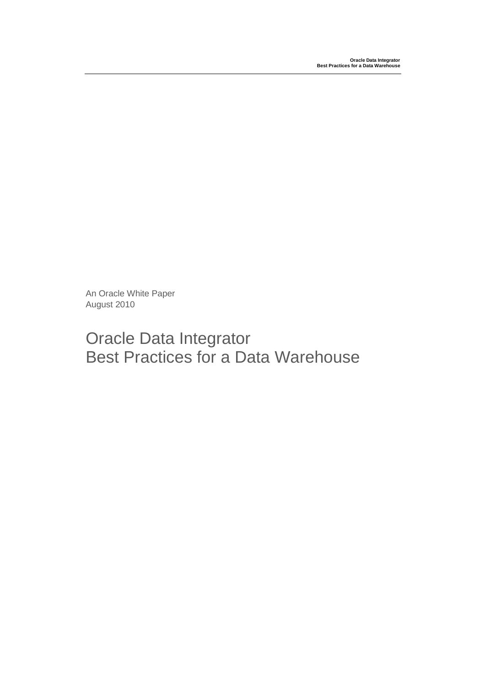An Oracle White Paper August 2010

# Oracle Data Integrator Best Practices for a Data Warehouse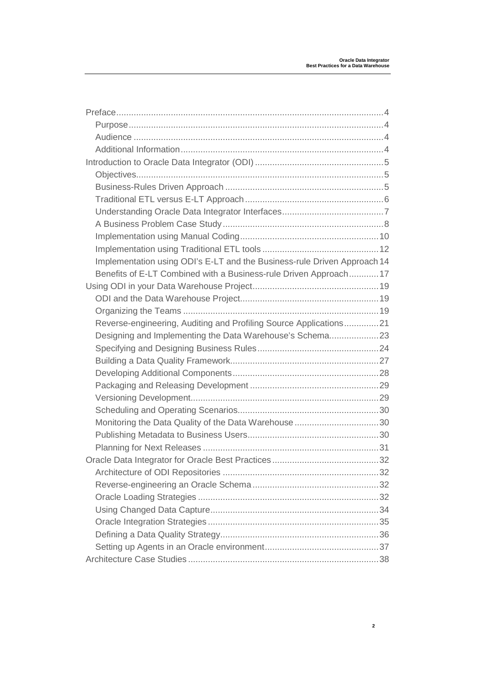| Implementation using ODI's E-LT and the Business-rule Driven Approach 14 |  |
|--------------------------------------------------------------------------|--|
| Benefits of E-LT Combined with a Business-rule Driven Approach17         |  |
|                                                                          |  |
|                                                                          |  |
|                                                                          |  |
| Reverse-engineering, Auditing and Profiling Source Applications21        |  |
| Designing and Implementing the Data Warehouse's Schema23                 |  |
|                                                                          |  |
|                                                                          |  |
|                                                                          |  |
|                                                                          |  |
|                                                                          |  |
|                                                                          |  |
| Monitoring the Data Quality of the Data Warehouse 30                     |  |
|                                                                          |  |
|                                                                          |  |
|                                                                          |  |
|                                                                          |  |
|                                                                          |  |
|                                                                          |  |
|                                                                          |  |
|                                                                          |  |
|                                                                          |  |
|                                                                          |  |
|                                                                          |  |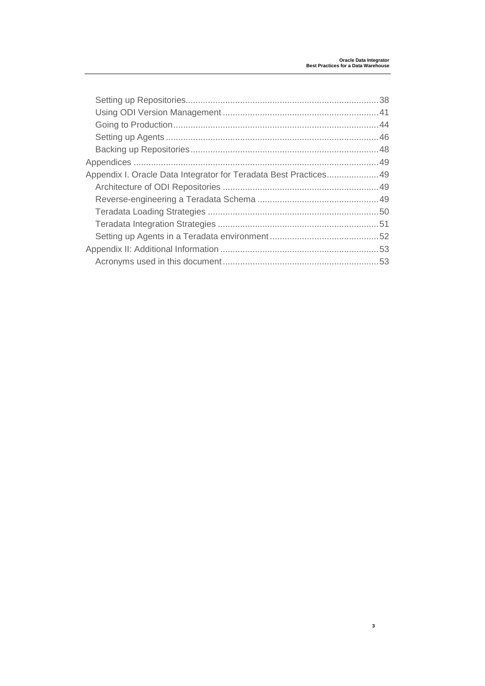| Appendix I. Oracle Data Integrator for Teradata Best Practices49 |  |
|------------------------------------------------------------------|--|
|                                                                  |  |
|                                                                  |  |
|                                                                  |  |
|                                                                  |  |
|                                                                  |  |
|                                                                  |  |
|                                                                  |  |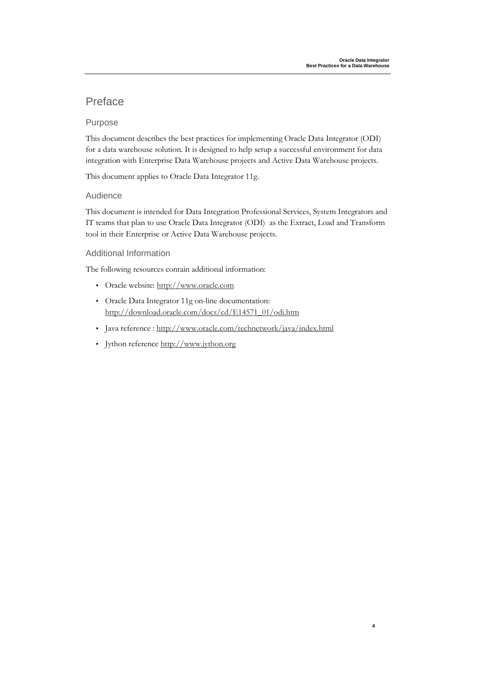### Preface

#### Purpose

This document describes the best practices for implementing Oracle Data Integrator (ODI) for a data warehouse solution. It is designed to help setup a successful environment for data integration with Enterprise Data Warehouse projects and Active Data Warehouse projects.

This document applies to Oracle Data Integrator 11g.

#### Audience

This document is intended for Data Integration Professional Services, System Integrators and IT teams that plan to use Oracle Data Integrator (ODI) as the Extract, Load and Transform tool in their Enterprise or Active Data Warehouse projects.

#### Additional Information

The following resources contain additional information:

- Oracle website: http://www.oracle.com
- Oracle Data Integrator 11g on-line documentation: http://download.oracle.com/docs/cd/E14571\_01/odi.htm
- Java reference : http://www.oracle.com/technetwork/java/index.html
- Jython reference http://www.jython.org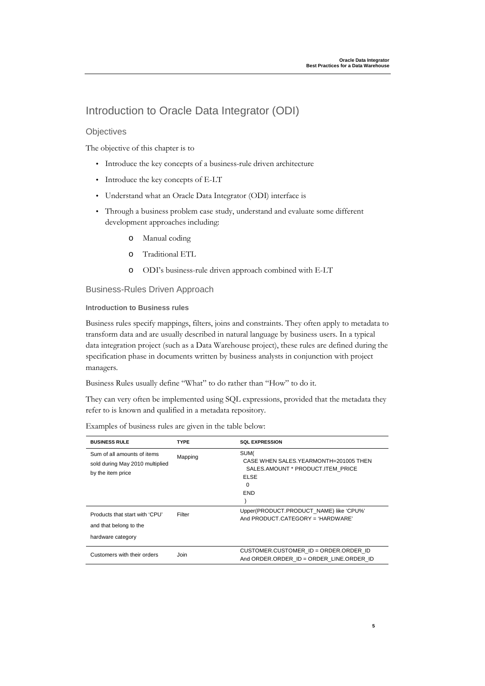### Introduction to Oracle Data Integrator (ODI)

#### **Objectives**

The objective of this chapter is to

- Introduce the key concepts of a business-rule driven architecture
- Introduce the key concepts of E-LT
- Understand what an Oracle Data Integrator (ODI) interface is
- Through a business problem case study, understand and evaluate some different development approaches including:
	- o Manual coding
	- o Traditional ETL
	- o ODI's business-rule driven approach combined with E-LT

#### Business-Rules Driven Approach

#### **Introduction to Business rules**

Business rules specify mappings, filters, joins and constraints. They often apply to metadata to transform data and are usually described in natural language by business users. In a typical data integration project (such as a Data Warehouse project), these rules are defined during the specification phase in documents written by business analysts in conjunction with project managers.

Business Rules usually define "What" to do rather than "How" to do it.

They can very often be implemented using SQL expressions, provided that the metadata they refer to is known and qualified in a metadata repository.

| <b>BUSINESS RULE</b>                                                                | <b>TYPE</b> | <b>SOL EXPRESSION</b>                                                                                         |
|-------------------------------------------------------------------------------------|-------------|---------------------------------------------------------------------------------------------------------------|
| Sum of all amounts of items<br>sold during May 2010 multiplied<br>by the item price | Mapping     | SUM(<br>CASE WHEN SALES YEARMONTH=201005 THEN<br>SALES.AMOUNT * PRODUCT.ITEM PRICE<br>ELSE<br>$\Omega$<br>END |
| Products that start with 'CPU'<br>and that belong to the<br>hardware category       | Filter      | Upper(PRODUCT.PRODUCT NAME) like 'CPU%'<br>And PRODUCT CATEGORY = 'HARDWARE'                                  |
| Customers with their orders                                                         | Join        | CUSTOMER.CUSTOMER ID = ORDER.ORDER ID<br>And ORDER.ORDER ID = ORDER LINE.ORDER ID                             |

Examples of business rules are given in the table below: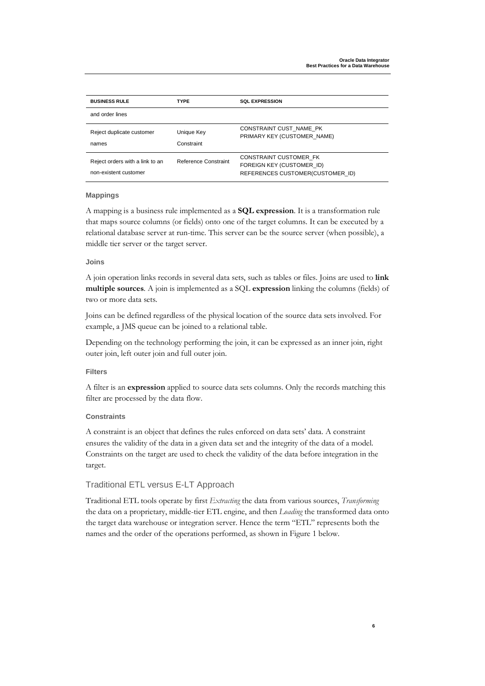| <b>BUSINESS RULE</b>                                     | <b>TYPE</b>              | <b>SOL EXPRESSION</b>                                                                   |
|----------------------------------------------------------|--------------------------|-----------------------------------------------------------------------------------------|
| and order lines                                          |                          |                                                                                         |
| Reject duplicate customer<br>names                       | Unique Key<br>Constraint | CONSTRAINT CUST NAME PK<br>PRIMARY KEY (CUSTOMER NAME)                                  |
| Reject orders with a link to an<br>non-existent customer | Reference Constraint     | CONSTRAINT CUSTOMER FK<br>FOREIGN KEY (CUSTOMER ID)<br>REFERENCES CUSTOMER(CUSTOMER ID) |

#### **Mappings**

A mapping is a business rule implemented as a **SQL expression**. It is a transformation rule that maps source columns (or fields) onto one of the target columns. It can be executed by a relational database server at run-time. This server can be the source server (when possible), a middle tier server or the target server.

#### **Joins**

A join operation links records in several data sets, such as tables or files. Joins are used to **link multiple sources**. A join is implemented as a SQL **expression** linking the columns (fields) of two or more data sets.

Joins can be defined regardless of the physical location of the source data sets involved. For example, a JMS queue can be joined to a relational table.

Depending on the technology performing the join, it can be expressed as an inner join, right outer join, left outer join and full outer join.

#### **Filters**

A filter is an **expression** applied to source data sets columns. Only the records matching this filter are processed by the data flow.

#### **Constraints**

A constraint is an object that defines the rules enforced on data sets' data. A constraint ensures the validity of the data in a given data set and the integrity of the data of a model. Constraints on the target are used to check the validity of the data before integration in the target.

#### Traditional ETL versus E-LT Approach

Traditional ETL tools operate by first *Extracting* the data from various sources, *Transforming* the data on a proprietary, middle-tier ETL engine, and then *Loading* the transformed data onto the target data warehouse or integration server. Hence the term "ETL" represents both the names and the order of the operations performed, as shown in Figure 1 below.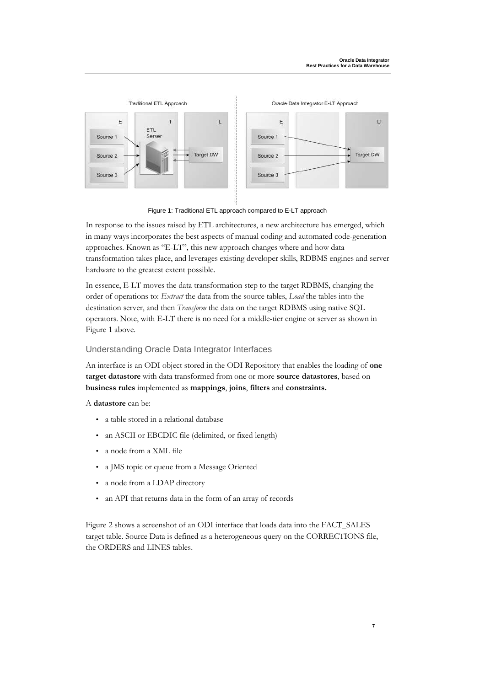

Figure 1: Traditional ETL approach compared to E-LT approach

In response to the issues raised by ETL architectures, a new architecture has emerged, which in many ways incorporates the best aspects of manual coding and automated code-generation approaches. Known as "E-LT", this new approach changes where and how data transformation takes place, and leverages existing developer skills, RDBMS engines and server hardware to the greatest extent possible.

In essence, E-LT moves the data transformation step to the target RDBMS, changing the order of operations to: *Extract* the data from the source tables, *Load* the tables into the destination server, and then *Transform* the data on the target RDBMS using native SQL operators. Note, with E-LT there is no need for a middle-tier engine or server as shown in Figure 1 above.

#### Understanding Oracle Data Integrator Interfaces

An interface is an ODI object stored in the ODI Repository that enables the loading of **one target datastore** with data transformed from one or more **source datastores**, based on **business rules** implemented as **mappings**, **joins**, **filters** and **constraints.** 

A **datastore** can be:

- a table stored in a relational database
- an ASCII or EBCDIC file (delimited, or fixed length)
- a node from a XML file
- a JMS topic or queue from a Message Oriented
- a node from a LDAP directory
- an API that returns data in the form of an array of records

Figure 2 shows a screenshot of an ODI interface that loads data into the FACT\_SALES target table. Source Data is defined as a heterogeneous query on the CORRECTIONS file, the ORDERS and LINES tables.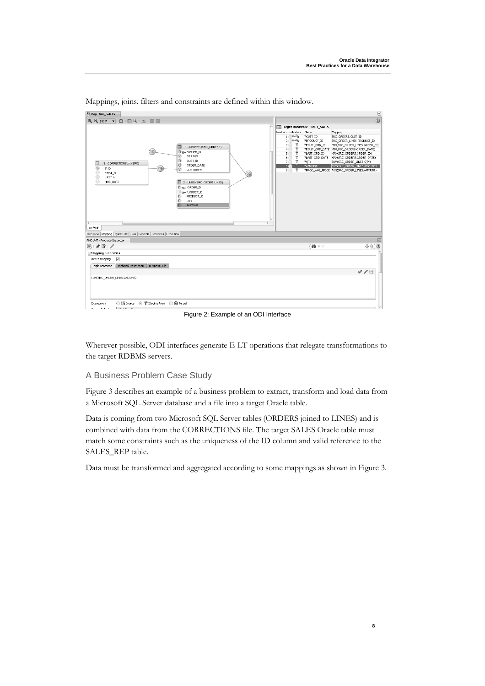

Mappings, joins, filters and constraints are defined within this window.

Figure 2: Example of an ODI Interface

Wherever possible, ODI interfaces generate E-LT operations that relegate transformations to the target RDBMS servers.

#### A Business Problem Case Study

Figure 3 describes an example of a business problem to extract, transform and load data from a Microsoft SQL Server database and a file into a target Oracle table.

Data is coming from two Microsoft SQL Server tables (ORDERS joined to LINES) and is combined with data from the CORRECTIONS file. The target SALES Oracle table must match some constraints such as the uniqueness of the ID column and valid reference to the SALES\_REP table.

Data must be transformed and aggregated according to some mappings as shown in Figure 3.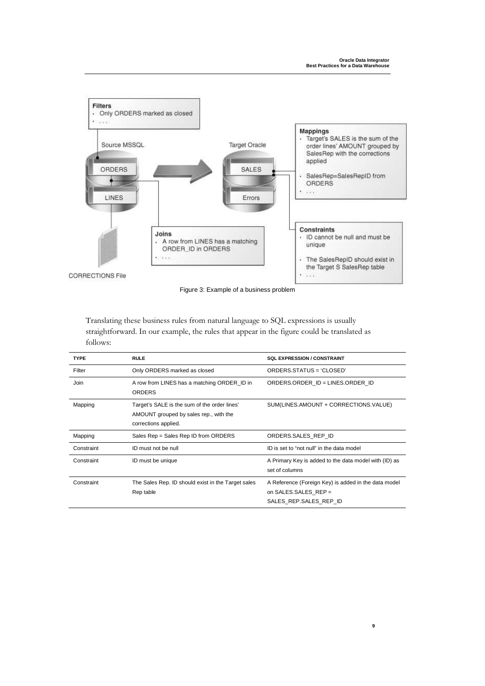

Figure 3: Example of a business problem

Translating these business rules from natural language to SQL expressions is usually straightforward. In our example, the rules that appear in the figure could be translated as follows:

| <b>TYPE</b> | <b>RULE</b>                                                                                                    | <b>SOL EXPRESSION / CONSTRAINT</b>                                                                     |
|-------------|----------------------------------------------------------------------------------------------------------------|--------------------------------------------------------------------------------------------------------|
| Filter      | Only ORDERS marked as closed                                                                                   | ORDERS.STATUS = 'CLOSED'                                                                               |
| Join        | A row from LINES has a matching ORDER_ID in<br><b>ORDERS</b>                                                   | ORDERS.ORDER ID = LINES.ORDER ID                                                                       |
| Mapping     | Target's SALE is the sum of the order lines'<br>AMOUNT grouped by sales rep., with the<br>corrections applied. | SUM(LINES.AMOUNT + CORRECTIONS.VALUE)                                                                  |
| Mapping     | Sales Rep = Sales Rep ID from ORDERS                                                                           | ORDERS.SALES REP ID                                                                                    |
| Constraint  | ID must not be null                                                                                            | ID is set to "not null" in the data model                                                              |
| Constraint  | ID must be unique                                                                                              | A Primary Key is added to the data model with (ID) as<br>set of columns                                |
| Constraint  | The Sales Rep. ID should exist in the Target sales<br>Rep table                                                | A Reference (Foreign Key) is added in the data model<br>on SALES.SALES REP =<br>SALES REP.SALES REP ID |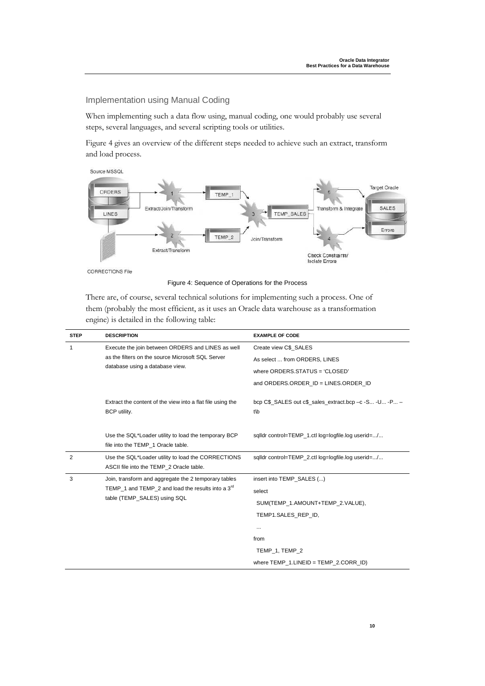Implementation using Manual Coding

When implementing such a data flow using, manual coding, one would probably use several steps, several languages, and several scripting tools or utilities.

Figure 4 gives an overview of the different steps needed to achieve such an extract, transform and load process.





CORRECTIONS File

Figure 4: Sequence of Operations for the Process

There are, of course, several technical solutions for implementing such a process. One of them (probably the most efficient, as it uses an Oracle data warehouse as a transformation engine) is detailed in the following table:

| <b>STEP</b>    | <b>DESCRIPTION</b>                                                                             | <b>EXAMPLE OF CODE</b>                                           |
|----------------|------------------------------------------------------------------------------------------------|------------------------------------------------------------------|
| 1              | Execute the join between ORDERS and LINES as well                                              | Create view C\$ SALES                                            |
|                | as the filters on the source Microsoft SQL Server                                              | As select  from ORDERS, LINES                                    |
|                | database using a database view.                                                                | where ORDERS.STATUS = 'CLOSED'                                   |
|                |                                                                                                | and ORDERS.ORDER ID = LINES.ORDER ID                             |
|                | Extract the content of the view into a flat file using the<br>BCP utility.                     | bcp $CS$ SALES out $CS$ sales extract.bcp $-c$ -S -U -P –<br>t\b |
|                | Use the SQL*Loader utility to load the temporary BCP<br>file into the TEMP 1 Oracle table.     | sqlldr control=TEMP_1.ctl log=logfile.log userid=/               |
| $\overline{2}$ | Use the SQL*Loader utility to load the CORRECTIONS<br>ASCII file into the TEMP 2 Oracle table. | sqlldr control=TEMP 2.ctl log=logfile.log userid=/               |
| 3              | Join, transform and aggregate the 2 temporary tables                                           | insert into TEMP SALES ()                                        |
|                | TEMP 1 and TEMP 2 and load the results into a $3rd$                                            | select                                                           |
|                | table (TEMP_SALES) using SQL                                                                   | SUM(TEMP 1.AMOUNT+TEMP 2.VALUE),                                 |
|                |                                                                                                | TEMP1.SALES_REP_ID,                                              |
|                |                                                                                                |                                                                  |
|                |                                                                                                | from                                                             |
|                |                                                                                                | TEMP_1, TEMP_2                                                   |
|                |                                                                                                | where $TEMP$ 1. LINEID = $TEMP$ 2. CORR ID)                      |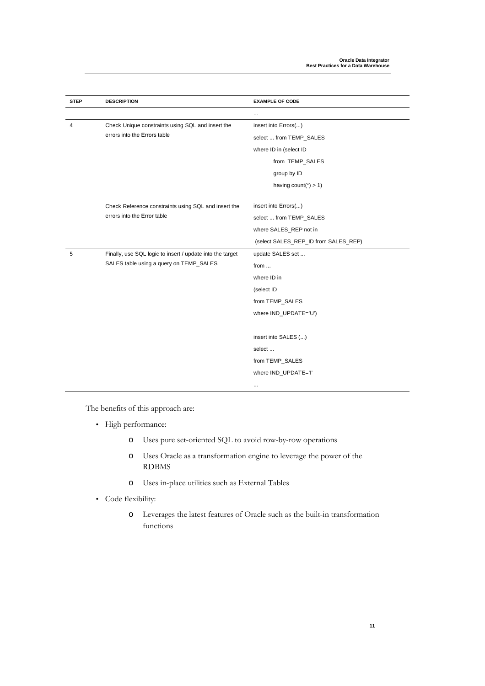| <b>STEP</b> | <b>DESCRIPTION</b>                                        | <b>EXAMPLE OF CODE</b>               |
|-------------|-----------------------------------------------------------|--------------------------------------|
|             |                                                           | .                                    |
| 4           | Check Unique constraints using SQL and insert the         | insert into Errors()                 |
|             | errors into the Errors table                              | select  from TEMP_SALES              |
|             |                                                           | where ID in (select ID               |
|             |                                                           | from TEMP_SALES                      |
|             |                                                           | group by ID                          |
|             |                                                           | having count( $\check{ }$ ) > 1)     |
|             |                                                           |                                      |
|             | Check Reference constraints using SQL and insert the      | insert into Errors()                 |
|             | errors into the Error table                               | select  from TEMP_SALES              |
|             |                                                           | where SALES_REP not in               |
|             |                                                           | (select SALES_REP_ID from SALES_REP) |
| 5           | Finally, use SQL logic to insert / update into the target | update SALES set                     |
|             | SALES table using a query on TEMP_SALES                   | from                                 |
|             |                                                           | where ID in                          |
|             |                                                           | (select ID                           |
|             |                                                           | from TEMP_SALES                      |
|             |                                                           | where IND_UPDATE='U')                |
|             |                                                           |                                      |
|             |                                                           | insert into SALES ()                 |
|             |                                                           | select                               |
|             |                                                           | from TEMP_SALES                      |
|             |                                                           | where IND_UPDATE='I'                 |
|             |                                                           |                                      |

The benefits of this approach are:

- High performance:
	- o Uses pure set-oriented SQL to avoid row-by-row operations
	- o Uses Oracle as a transformation engine to leverage the power of the RDBMS
	- o Uses in-place utilities such as External Tables
- Code flexibility:
	- o Leverages the latest features of Oracle such as the built-in transformation functions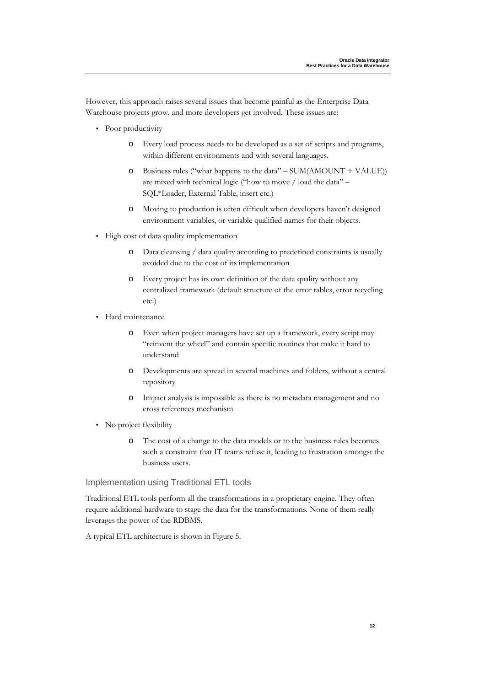However, this approach raises several issues that become painful as the Enterprise Data Warehouse projects grow, and more developers get involved. These issues are:

- Poor productivity
	- o Every load process needs to be developed as a set of scripts and programs, within different environments and with several languages.
	- Business rules ("what happens to the data"  $SUM(AMOUNT + VALUE)$ ) are mixed with technical logic ("how to move / load the data" – SQL\*Loader, External Table, insert etc.)
	- o Moving to production is often difficult when developers haven't designed environment variables, or variable qualified names for their objects.
- High cost of data quality implementation
	- o Data cleansing / data quality according to predefined constraints is usually avoided due to the cost of its implementation
	- o Every project has its own definition of the data quality without any centralized framework (default structure of the error tables, error recycling etc.)
- Hard maintenance
	- o Even when project managers have set up a framework, every script may "reinvent the wheel" and contain specific routines that make it hard to understand
	- o Developments are spread in several machines and folders, without a central repository
	- o Impact analysis is impossible as there is no metadata management and no cross references mechanism
- No project flexibility
	- o The cost of a change to the data models or to the business rules becomes such a constraint that IT teams refuse it, leading to frustration amongst the business users.

#### Implementation using Traditional ETL tools

Traditional ETL tools perform all the transformations in a proprietary engine. They often require additional hardware to stage the data for the transformations. None of them really leverages the power of the RDBMS.

A typical ETL architecture is shown in Figure 5.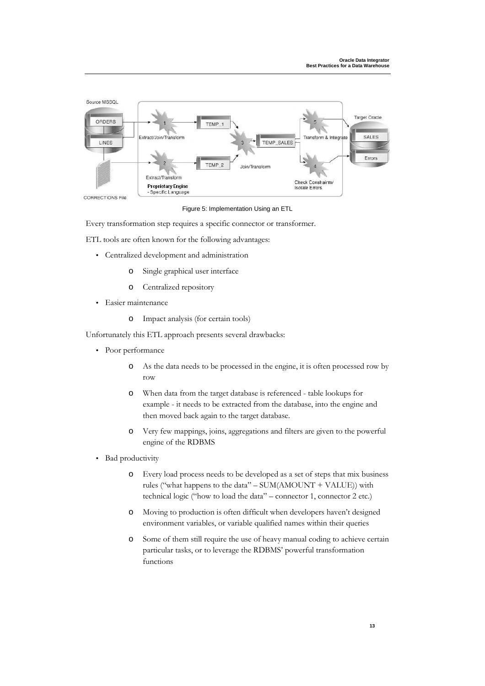

Figure 5: Implementation Using an ETL

Every transformation step requires a specific connector or transformer.

ETL tools are often known for the following advantages:

- Centralized development and administration
	- o Single graphical user interface
	- o Centralized repository
- Easier maintenance
	- o Impact analysis (for certain tools)

Unfortunately this ETL approach presents several drawbacks:

- Poor performance
	- o As the data needs to be processed in the engine, it is often processed row by row
	- o When data from the target database is referenced table lookups for example - it needs to be extracted from the database, into the engine and then moved back again to the target database.
	- o Very few mappings, joins, aggregations and filters are given to the powerful engine of the RDBMS
- Bad productivity
	- o Every load process needs to be developed as a set of steps that mix business rules ("what happens to the data" – SUM(AMOUNT + VALUE)) with technical logic ("how to load the data" – connector 1, connector 2 etc.)
	- o Moving to production is often difficult when developers haven't designed environment variables, or variable qualified names within their queries
	- o Some of them still require the use of heavy manual coding to achieve certain particular tasks, or to leverage the RDBMS' powerful transformation functions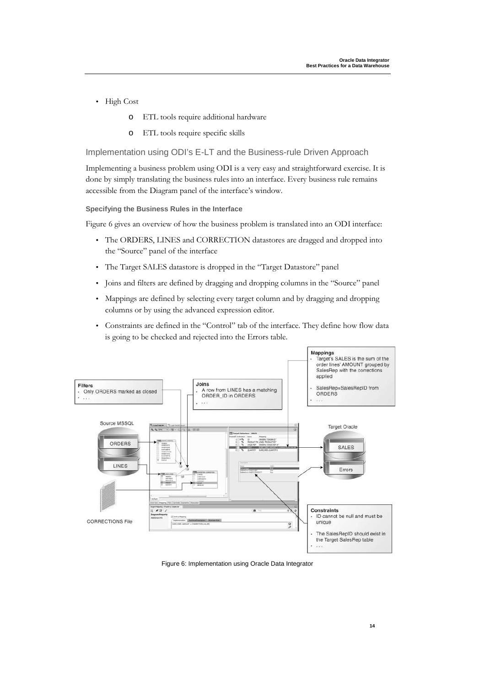- High Cost
	- o ETL tools require additional hardware
	- o ETL tools require specific skills

Implementation using ODI's E-LT and the Business-rule Driven Approach

Implementing a business problem using ODI is a very easy and straightforward exercise. It is done by simply translating the business rules into an interface. Every business rule remains accessible from the Diagram panel of the interface's window.

#### **Specifying the Business Rules in the Interface**

Figure 6 gives an overview of how the business problem is translated into an ODI interface:

- The ORDERS, LINES and CORRECTION datastores are dragged and dropped into the "Source" panel of the interface
- The Target SALES datastore is dropped in the "Target Datastore" panel
- Joins and filters are defined by dragging and dropping columns in the "Source" panel
- Mappings are defined by selecting every target column and by dragging and dropping columns or by using the advanced expression editor.
- Constraints are defined in the "Control" tab of the interface. They define how flow data is going to be checked and rejected into the Errors table.



Figure 6: Implementation using Oracle Data Integrator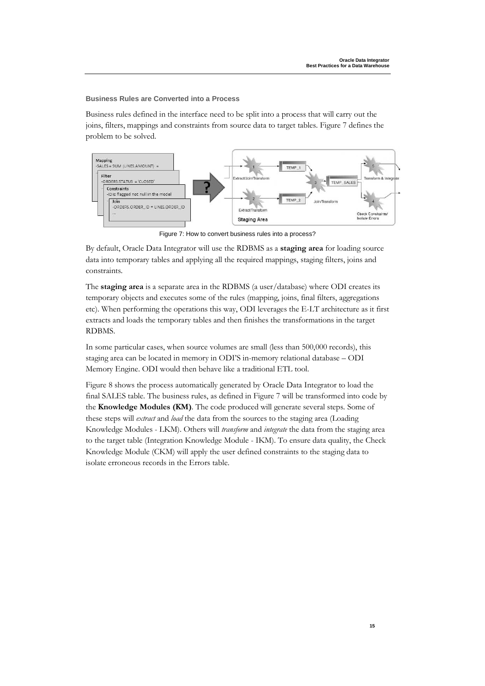#### **Business Rules are Converted into a Process**

Business rules defined in the interface need to be split into a process that will carry out the joins, filters, mappings and constraints from source data to target tables. Figure 7 defines the problem to be solved.



Figure 7: How to convert business rules into a process?

By default, Oracle Data Integrator will use the RDBMS as a **staging area** for loading source data into temporary tables and applying all the required mappings, staging filters, joins and constraints.

The **staging area** is a separate area in the RDBMS (a user/database) where ODI creates its temporary objects and executes some of the rules (mapping, joins, final filters, aggregations etc). When performing the operations this way, ODI leverages the E-LT architecture as it first extracts and loads the temporary tables and then finishes the transformations in the target RDBMS.

In some particular cases, when source volumes are small (less than 500,000 records), this staging area can be located in memory in ODI'S in-memory relational database – ODI Memory Engine. ODI would then behave like a traditional ETL tool.

Figure 8 shows the process automatically generated by Oracle Data Integrator to load the final SALES table. The business rules, as defined in Figure 7 will be transformed into code by the **Knowledge Modules (KM)**. The code produced will generate several steps. Some of these steps will *extract* and *load* the data from the sources to the staging area (Loading Knowledge Modules - LKM). Others will *transform* and *integrate* the data from the staging area to the target table (Integration Knowledge Module - IKM). To ensure data quality, the Check Knowledge Module (CKM) will apply the user defined constraints to the staging data to isolate erroneous records in the Errors table.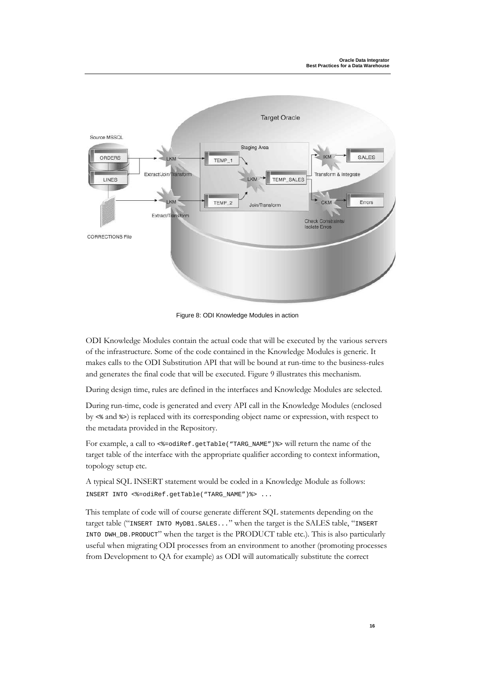

Figure 8: ODI Knowledge Modules in action

ODI Knowledge Modules contain the actual code that will be executed by the various servers of the infrastructure. Some of the code contained in the Knowledge Modules is generic. It makes calls to the ODI Substitution API that will be bound at run-time to the business-rules and generates the final code that will be executed. Figure 9 illustrates this mechanism.

During design time, rules are defined in the interfaces and Knowledge Modules are selected.

During run-time, code is generated and every API call in the Knowledge Modules (enclosed by <% and %>) is replaced with its corresponding object name or expression, with respect to the metadata provided in the Repository.

For example, a call to  $\leq$  = odiRef.getTable("TARG\_NAME") &> will return the name of the target table of the interface with the appropriate qualifier according to context information, topology setup etc.

A typical SQL INSERT statement would be coded in a Knowledge Module as follows: INSERT INTO <%=odiRef.getTable("TARG\_NAME")%> ...

This template of code will of course generate different SQL statements depending on the target table ("INSERT INTO MyDB1.SALES..." when the target is the SALES table, "INSERT INTO DWH\_DB.PRODUCT" when the target is the PRODUCT table etc.). This is also particularly useful when migrating ODI processes from an environment to another (promoting processes from Development to QA for example) as ODI will automatically substitute the correct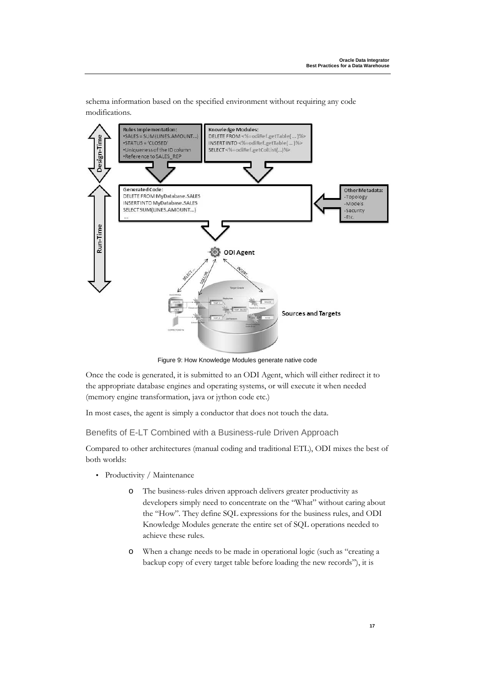schema information based on the specified environment without requiring any code modifications.



Figure 9: How Knowledge Modules generate native code

Once the code is generated, it is submitted to an ODI Agent, which will either redirect it to the appropriate database engines and operating systems, or will execute it when needed (memory engine transformation, java or jython code etc.)

In most cases, the agent is simply a conductor that does not touch the data.

Benefits of E-LT Combined with a Business-rule Driven Approach

Compared to other architectures (manual coding and traditional ETL), ODI mixes the best of both worlds:

- Productivity / Maintenance
	- o The business-rules driven approach delivers greater productivity as developers simply need to concentrate on the "What" without caring about the "How". They define SQL expressions for the business rules, and ODI Knowledge Modules generate the entire set of SQL operations needed to achieve these rules.
	- o When a change needs to be made in operational logic (such as "creating a backup copy of every target table before loading the new records"), it is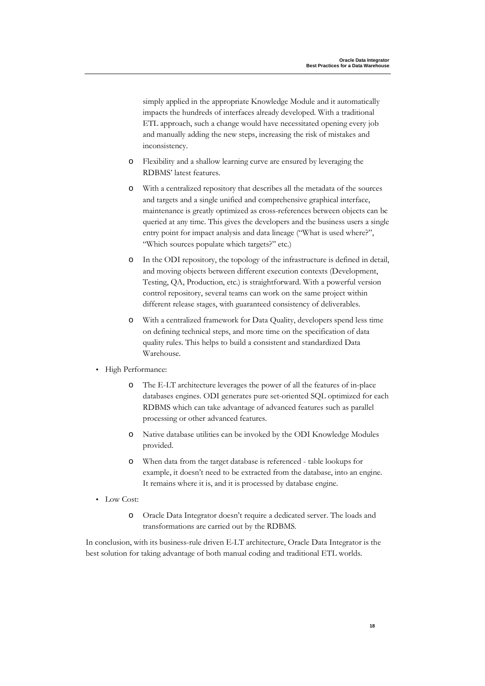simply applied in the appropriate Knowledge Module and it automatically impacts the hundreds of interfaces already developed. With a traditional ETL approach, such a change would have necessitated opening every job and manually adding the new steps, increasing the risk of mistakes and inconsistency.

- o Flexibility and a shallow learning curve are ensured by leveraging the RDBMS' latest features.
- o With a centralized repository that describes all the metadata of the sources and targets and a single unified and comprehensive graphical interface, maintenance is greatly optimized as cross-references between objects can be queried at any time. This gives the developers and the business users a single entry point for impact analysis and data lineage ("What is used where?", "Which sources populate which targets?" etc.)
- o In the ODI repository, the topology of the infrastructure is defined in detail, and moving objects between different execution contexts (Development, Testing, QA, Production, etc.) is straightforward. With a powerful version control repository, several teams can work on the same project within different release stages, with guaranteed consistency of deliverables.
- o With a centralized framework for Data Quality, developers spend less time on defining technical steps, and more time on the specification of data quality rules. This helps to build a consistent and standardized Data Warehouse.
- High Performance:
	- o The E-LT architecture leverages the power of all the features of in-place databases engines. ODI generates pure set-oriented SQL optimized for each RDBMS which can take advantage of advanced features such as parallel processing or other advanced features.
	- o Native database utilities can be invoked by the ODI Knowledge Modules provided.
	- o When data from the target database is referenced table lookups for example, it doesn't need to be extracted from the database, into an engine. It remains where it is, and it is processed by database engine.
- Low Cost:
	- o Oracle Data Integrator doesn't require a dedicated server. The loads and transformations are carried out by the RDBMS.

In conclusion, with its business-rule driven E-LT architecture, Oracle Data Integrator is the best solution for taking advantage of both manual coding and traditional ETL worlds.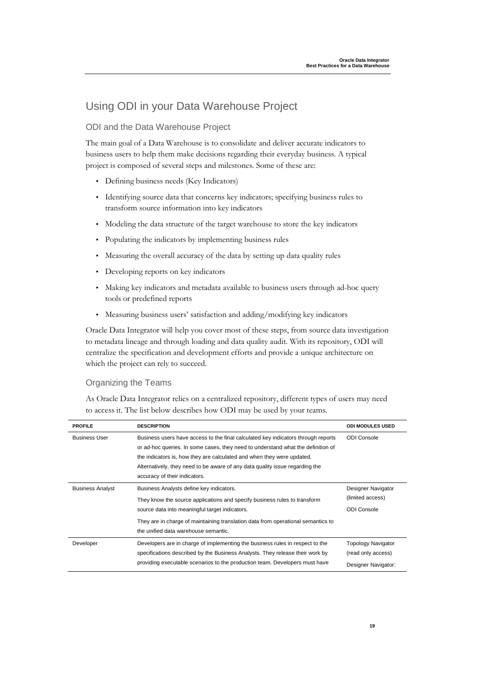### Using ODI in your Data Warehouse Project

#### ODI and the Data Warehouse Project

The main goal of a Data Warehouse is to consolidate and deliver accurate indicators to business users to help them make decisions regarding their everyday business. A typical project is composed of several steps and milestones. Some of these are:

- Defining business needs (Key Indicators)
- Identifying source data that concerns key indicators; specifying business rules to transform source information into key indicators
- Modeling the data structure of the target warehouse to store the key indicators
- Populating the indicators by implementing business rules
- Measuring the overall accuracy of the data by setting up data quality rules
- Developing reports on key indicators
- Making key indicators and metadata available to business users through ad-hoc query tools or predefined reports
- Measuring business users' satisfaction and adding/modifying key indicators

Oracle Data Integrator will help you cover most of these steps, from source data investigation to metadata lineage and through loading and data quality audit. With its repository, ODI will centralize the specification and development efforts and provide a unique architecture on which the project can rely to succeed.

#### Organizing the Teams

As Oracle Data Integrator relies on a centralized repository, different types of users may need to access it. The list below describes how ODI may be used by your teams.

| <b>PROFILE</b>          | <b>DESCRIPTION</b>                                                                                                                                                                                                                                                                                                                                               | <b>ODI MODULES USED</b>                                                |
|-------------------------|------------------------------------------------------------------------------------------------------------------------------------------------------------------------------------------------------------------------------------------------------------------------------------------------------------------------------------------------------------------|------------------------------------------------------------------------|
| <b>Business User</b>    | Business users have access to the final calculated key indicators through reports<br>or ad-hoc queries. In some cases, they need to understand what the definition of<br>the indicators is, how they are calculated and when they were updated.<br>Alternatively, they need to be aware of any data quality issue regarding the<br>accuracy of their indicators. | <b>ODI Console</b>                                                     |
| <b>Business Analyst</b> | Business Analysts define key indicators.<br>They know the source applications and specify business rules to transform<br>source data into meaningful target indicators.<br>They are in charge of maintaining translation data from operational semantics to<br>the unified data warehouse semantic.                                                              | Designer Navigator<br>(limited access)<br><b>ODI</b> Console           |
| Developer               | Developers are in charge of implementing the business rules in respect to the<br>specifications described by the Business Analysts. They release their work by<br>providing executable scenarios to the production team. Developers must have                                                                                                                    | <b>Topology Navigator</b><br>(read only access)<br>Designer Navigator: |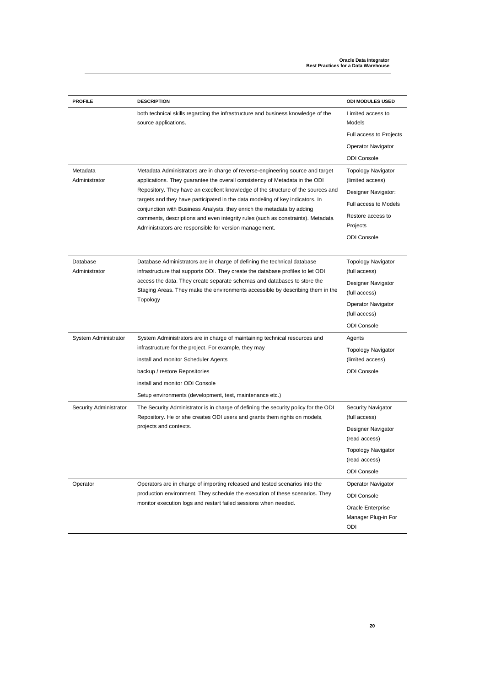| <b>PROFILE</b>            | <b>DESCRIPTION</b>                                                                                                                                                                                                                                       | <b>ODI MODULES USED</b>                         |
|---------------------------|----------------------------------------------------------------------------------------------------------------------------------------------------------------------------------------------------------------------------------------------------------|-------------------------------------------------|
|                           | both technical skills regarding the infrastructure and business knowledge of the<br>source applications.                                                                                                                                                 | Limited access to<br>Models                     |
|                           |                                                                                                                                                                                                                                                          | Full access to Projects                         |
|                           |                                                                                                                                                                                                                                                          | <b>Operator Navigator</b>                       |
|                           |                                                                                                                                                                                                                                                          | <b>ODI</b> Console                              |
| Metadata<br>Administrator | Metadata Administrators are in charge of reverse-engineering source and target<br>applications. They guarantee the overall consistency of Metadata in the ODI                                                                                            | <b>Topology Navigator</b><br>(limited access)   |
|                           | Repository. They have an excellent knowledge of the structure of the sources and                                                                                                                                                                         | Designer Navigator:                             |
|                           | targets and they have participated in the data modeling of key indicators. In<br>conjunction with Business Analysts, they enrich the metadata by adding                                                                                                  | Full access to Models                           |
|                           | comments, descriptions and even integrity rules (such as constraints). Metadata<br>Administrators are responsible for version management.                                                                                                                | Restore access to<br>Projects                   |
|                           |                                                                                                                                                                                                                                                          | <b>ODI</b> Console                              |
| Database<br>Administrator | Database Administrators are in charge of defining the technical database                                                                                                                                                                                 | <b>Topology Navigator</b><br>(full access)      |
|                           | infrastructure that supports ODI. They create the database profiles to let ODI<br>access the data. They create separate schemas and databases to store the<br>Staging Areas. They make the environments accessible by describing them in the<br>Topology | Designer Navigator<br>(full access)             |
|                           |                                                                                                                                                                                                                                                          | Operator Navigator<br>(full access)             |
|                           |                                                                                                                                                                                                                                                          | <b>ODI</b> Console                              |
| System Administrator      | System Administrators are in charge of maintaining technical resources and                                                                                                                                                                               | Agents                                          |
|                           | infrastructure for the project. For example, they may                                                                                                                                                                                                    | Topology Navigator                              |
|                           | install and monitor Scheduler Agents                                                                                                                                                                                                                     | (limited access)                                |
|                           | backup / restore Repositories                                                                                                                                                                                                                            | <b>ODI Console</b>                              |
|                           | install and monitor ODI Console                                                                                                                                                                                                                          |                                                 |
|                           | Setup environments (development, test, maintenance etc.)                                                                                                                                                                                                 |                                                 |
| Security Administrator    | The Security Administrator is in charge of defining the security policy for the ODI<br>Repository. He or she creates ODI users and grants them rights on models,                                                                                         | Security Navigator<br>(full access)             |
|                           | projects and contexts.                                                                                                                                                                                                                                   | Designer Navigator<br>(read access)             |
|                           |                                                                                                                                                                                                                                                          | Topology Navigator<br>(read access)             |
|                           |                                                                                                                                                                                                                                                          | <b>ODI</b> Console                              |
| Operator                  | Operators are in charge of importing released and tested scenarios into the                                                                                                                                                                              | <b>Operator Navigator</b>                       |
|                           | production environment. They schedule the execution of these scenarios. They                                                                                                                                                                             | <b>ODI Console</b>                              |
|                           | monitor execution logs and restart failed sessions when needed.                                                                                                                                                                                          | Oracle Enterprise<br>Manager Plug-in For<br>ODI |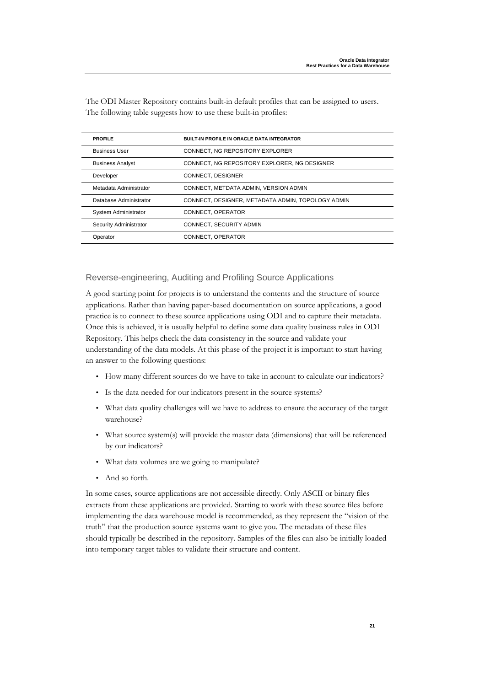| <b>PROFILE</b>          | <b>BUILT-IN PROFILE IN ORACLE DATA INTEGRATOR</b> |
|-------------------------|---------------------------------------------------|
| <b>Business User</b>    | CONNECT. NG REPOSITORY EXPLORER                   |
| <b>Business Analyst</b> | CONNECT, NG REPOSITORY EXPLORER, NG DESIGNER      |
| Developer               | CONNECT. DESIGNER                                 |
| Metadata Administrator  | CONNECT, METDATA ADMIN, VERSION ADMIN             |
| Database Administrator  | CONNECT, DESIGNER, METADATA ADMIN, TOPOLOGY ADMIN |
| System Administrator    | CONNECT, OPERATOR                                 |
| Security Administrator  | CONNECT, SECURITY ADMIN                           |
| Operator                | CONNECT, OPERATOR                                 |

The ODI Master Repository contains built-in default profiles that can be assigned to users. The following table suggests how to use these built-in profiles:

#### Reverse-engineering, Auditing and Profiling Source Applications

A good starting point for projects is to understand the contents and the structure of source applications. Rather than having paper-based documentation on source applications, a good practice is to connect to these source applications using ODI and to capture their metadata. Once this is achieved, it is usually helpful to define some data quality business rules in ODI Repository. This helps check the data consistency in the source and validate your understanding of the data models. At this phase of the project it is important to start having an answer to the following questions:

- How many different sources do we have to take in account to calculate our indicators?
- Is the data needed for our indicators present in the source systems?
- What data quality challenges will we have to address to ensure the accuracy of the target warehouse?
- What source system(s) will provide the master data (dimensions) that will be referenced by our indicators?
- What data volumes are we going to manipulate?
- And so forth.

In some cases, source applications are not accessible directly. Only ASCII or binary files extracts from these applications are provided. Starting to work with these source files before implementing the data warehouse model is recommended, as they represent the "vision of the truth" that the production source systems want to give you. The metadata of these files should typically be described in the repository. Samples of the files can also be initially loaded into temporary target tables to validate their structure and content.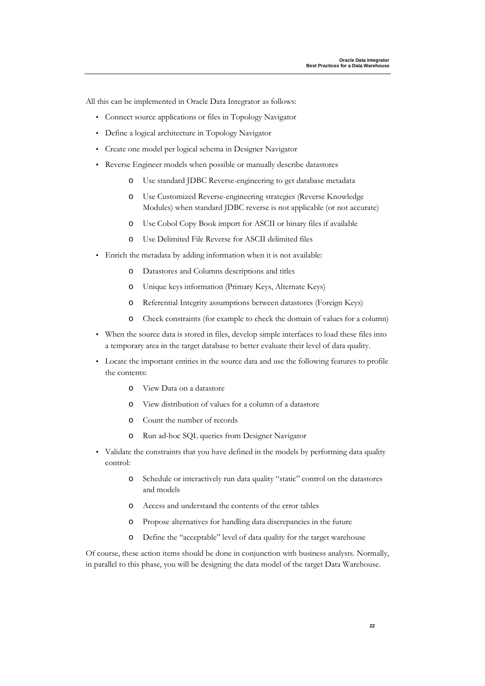All this can be implemented in Oracle Data Integrator as follows:

- Connect source applications or files in Topology Navigator
- Define a logical architecture in Topology Navigator
- Create one model per logical schema in Designer Navigator
- Reverse Engineer models when possible or manually describe datastores
	- o Use standard JDBC Reverse-engineering to get database metadata
	- o Use Customized Reverse-engineering strategies (Reverse Knowledge Modules) when standard JDBC reverse is not applicable (or not accurate)
	- o Use Cobol Copy Book import for ASCII or binary files if available
	- o Use Delimited File Reverse for ASCII delimited files
- Enrich the metadata by adding information when it is not available:
	- o Datastores and Columns descriptions and titles
	- o Unique keys information (Primary Keys, Alternate Keys)
	- o Referential Integrity assumptions between datastores (Foreign Keys)
	- o Check constraints (for example to check the domain of values for a column)
- When the source data is stored in files, develop simple interfaces to load these files into a temporary area in the target database to better evaluate their level of data quality.
- Locate the important entities in the source data and use the following features to profile the contents:
	- o View Data on a datastore
	- o View distribution of values for a column of a datastore
	- o Count the number of records
	- o Run ad-hoc SQL queries from Designer Navigator
- Validate the constraints that you have defined in the models by performing data quality control:
	- o Schedule or interactively run data quality "static" control on the datastores and models
	- o Access and understand the contents of the error tables
	- o Propose alternatives for handling data discrepancies in the future
	- o Define the "acceptable" level of data quality for the target warehouse

Of course, these action items should be done in conjunction with business analysts. Normally, in parallel to this phase, you will be designing the data model of the target Data Warehouse.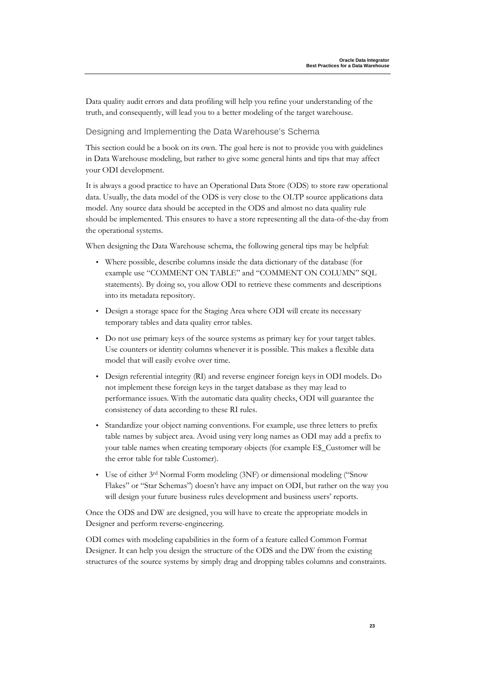Data quality audit errors and data profiling will help you refine your understanding of the truth, and consequently, will lead you to a better modeling of the target warehouse.

Designing and Implementing the Data Warehouse's Schema

This section could be a book on its own. The goal here is not to provide you with guidelines in Data Warehouse modeling, but rather to give some general hints and tips that may affect your ODI development.

It is always a good practice to have an Operational Data Store (ODS) to store raw operational data. Usually, the data model of the ODS is very close to the OLTP source applications data model. Any source data should be accepted in the ODS and almost no data quality rule should be implemented. This ensures to have a store representing all the data-of-the-day from the operational systems.

When designing the Data Warehouse schema, the following general tips may be helpful:

- Where possible, describe columns inside the data dictionary of the database (for example use "COMMENT ON TABLE" and "COMMENT ON COLUMN" SQL statements). By doing so, you allow ODI to retrieve these comments and descriptions into its metadata repository.
- Design a storage space for the Staging Area where ODI will create its necessary temporary tables and data quality error tables.
- Do not use primary keys of the source systems as primary key for your target tables. Use counters or identity columns whenever it is possible. This makes a flexible data model that will easily evolve over time.
- Design referential integrity (RI) and reverse engineer foreign keys in ODI models. Do not implement these foreign keys in the target database as they may lead to performance issues. With the automatic data quality checks, ODI will guarantee the consistency of data according to these RI rules.
- Standardize your object naming conventions. For example, use three letters to prefix table names by subject area. Avoid using very long names as ODI may add a prefix to your table names when creating temporary objects (for example E\$\_Customer will be the error table for table Customer).
- Use of either 3<sup>rd</sup> Normal Form modeling (3NF) or dimensional modeling ("Snow Flakes" or "Star Schemas") doesn't have any impact on ODI, but rather on the way you will design your future business rules development and business users' reports.

Once the ODS and DW are designed, you will have to create the appropriate models in Designer and perform reverse-engineering.

ODI comes with modeling capabilities in the form of a feature called Common Format Designer. It can help you design the structure of the ODS and the DW from the existing structures of the source systems by simply drag and dropping tables columns and constraints.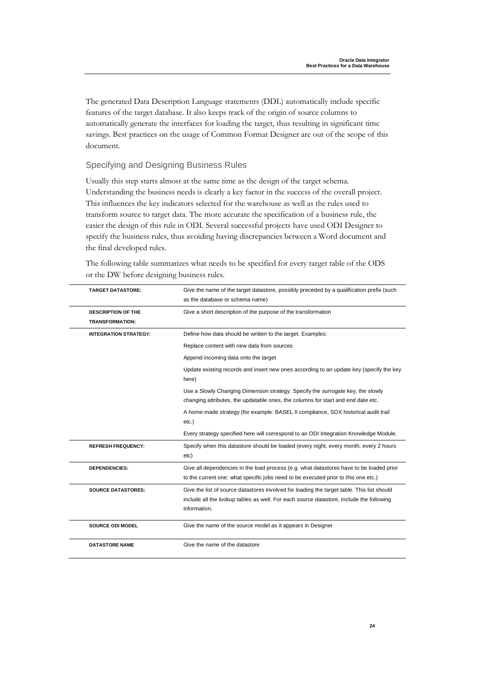The generated Data Description Language statements (DDL) automatically include specific features of the target database. It also keeps track of the origin of source columns to automatically generate the interfaces for loading the target, thus resulting in significant time savings. Best practices on the usage of Common Format Designer are out of the scope of this document.

Specifying and Designing Business Rules

Usually this step starts almost at the same time as the design of the target schema. Understanding the business needs is clearly a key factor in the success of the overall project. This influences the key indicators selected for the warehouse as well as the rules used to transform source to target data. The more accurate the specification of a business rule, the easier the design of this rule in ODI. Several successful projects have used ODI Designer to specify the business rules, thus avoiding having discrepancies between a Word document and the final developed rules.

| The following table summarizes what needs to be specified for every target table of the ODS |  |
|---------------------------------------------------------------------------------------------|--|
| or the DW before designing business rules.                                                  |  |

| <b>TARGET DATASTORE:</b>                            | Give the name of the target datastore, possibly preceded by a qualification prefix (such<br>as the database or schema name)                                                                           |
|-----------------------------------------------------|-------------------------------------------------------------------------------------------------------------------------------------------------------------------------------------------------------|
| <b>DESCRIPTION OF THE</b><br><b>TRANSFORMATION:</b> | Give a short description of the purpose of the transformation                                                                                                                                         |
| <b>INTEGRATION STRATEGY:</b>                        | Define how data should be written to the target. Examples:                                                                                                                                            |
|                                                     | Replace content with new data from sources                                                                                                                                                            |
|                                                     | Append incoming data onto the target                                                                                                                                                                  |
|                                                     | Update existing records and insert new ones according to an update key (specify the key<br>here)                                                                                                      |
|                                                     | Use a Slowly Changing Dimension strategy. Specify the surrogate key, the slowly                                                                                                                       |
|                                                     | changing attributes, the updatable ones, the columns for start and end date etc.                                                                                                                      |
|                                                     | A home-made strategy (for example: BASEL II compliance, SOX historical audit trail<br>$etc.$ )                                                                                                        |
|                                                     | Every strategy specified here will correspond to an ODI Integration Knowledge Module.                                                                                                                 |
| <b>REFRESH FREQUENCY:</b>                           | Specify when this datastore should be loaded (every night, every month, every 2 hours<br>etc)                                                                                                         |
| <b>DEPENDENCIES:</b>                                | Give all dependencies in the load process (e.g. what datastores have to be loaded prior<br>to the current one; what specific jobs need to be executed prior to this one etc.)                         |
| <b>SOURCE DATASTORES:</b>                           | Give the list of source datastores involved for loading the target table. This list should<br>include all the lookup tables as well. For each source datastore, include the following<br>information. |
| <b>SOURCE ODI MODEL</b>                             | Give the name of the source model as it appears in Designer                                                                                                                                           |
| <b>DATASTORE NAME</b>                               | Give the name of the datastore                                                                                                                                                                        |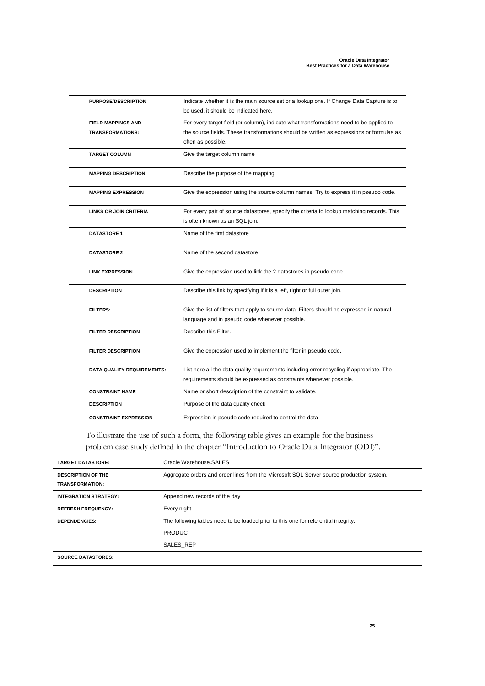| <b>PURPOSE/DESCRIPTION</b>                           | Indicate whether it is the main source set or a lookup one. If Change Data Capture is to<br>be used, it should be indicated here.                                                                         |
|------------------------------------------------------|-----------------------------------------------------------------------------------------------------------------------------------------------------------------------------------------------------------|
| <b>FIELD MAPPINGS AND</b><br><b>TRANSFORMATIONS:</b> | For every target field (or column), indicate what transformations need to be applied to<br>the source fields. These transformations should be written as expressions or formulas as<br>often as possible. |
| <b>TARGET COLUMN</b>                                 | Give the target column name                                                                                                                                                                               |
| <b>MAPPING DESCRIPTION</b>                           | Describe the purpose of the mapping                                                                                                                                                                       |
| <b>MAPPING EXPRESSION</b>                            | Give the expression using the source column names. Try to express it in pseudo code.                                                                                                                      |
| <b>LINKS OR JOIN CRITERIA</b>                        | For every pair of source datastores, specify the criteria to lookup matching records. This<br>is often known as an SQL join.                                                                              |
| <b>DATASTORE 1</b>                                   | Name of the first datastore                                                                                                                                                                               |
| <b>DATASTORE 2</b>                                   | Name of the second datastore                                                                                                                                                                              |
| <b>LINK EXPRESSION</b>                               | Give the expression used to link the 2 datastores in pseudo code                                                                                                                                          |
| <b>DESCRIPTION</b>                                   | Describe this link by specifying if it is a left, right or full outer join.                                                                                                                               |
| <b>FILTERS:</b>                                      | Give the list of filters that apply to source data. Filters should be expressed in natural<br>language and in pseudo code whenever possible.                                                              |
| <b>FILTER DESCRIPTION</b>                            | Describe this Filter.                                                                                                                                                                                     |
| <b>FILTER DESCRIPTION</b>                            | Give the expression used to implement the filter in pseudo code.                                                                                                                                          |
| DATA QUALITY REQUIREMENTS:                           | List here all the data quality requirements including error recycling if appropriate. The<br>requirements should be expressed as constraints whenever possible.                                           |
| <b>CONSTRAINT NAME</b>                               | Name or short description of the constraint to validate.                                                                                                                                                  |
| <b>DESCRIPTION</b>                                   | Purpose of the data quality check                                                                                                                                                                         |
| <b>CONSTRAINT EXPRESSION</b>                         | Expression in pseudo code required to control the data                                                                                                                                                    |

To illustrate the use of such a form, the following table gives an example for the business problem case study defined in the chapter "Introduction to Oracle Data Integrator (ODI)".

| <b>TARGET DATASTORE:</b>     | Oracle Warehouse.SALES                                                                   |
|------------------------------|------------------------------------------------------------------------------------------|
| <b>DESCRIPTION OF THE</b>    | Aggregate orders and order lines from the Microsoft SQL Server source production system. |
| <b>TRANSFORMATION:</b>       |                                                                                          |
| <b>INTEGRATION STRATEGY:</b> | Append new records of the day                                                            |
| <b>REFRESH FREQUENCY:</b>    | Every night                                                                              |
| <b>DEPENDENCIES:</b>         | The following tables need to be loaded prior to this one for referential integrity:      |
|                              | <b>PRODUCT</b>                                                                           |
|                              | SALES REP                                                                                |
| <b>SOURCE DATASTORES:</b>    |                                                                                          |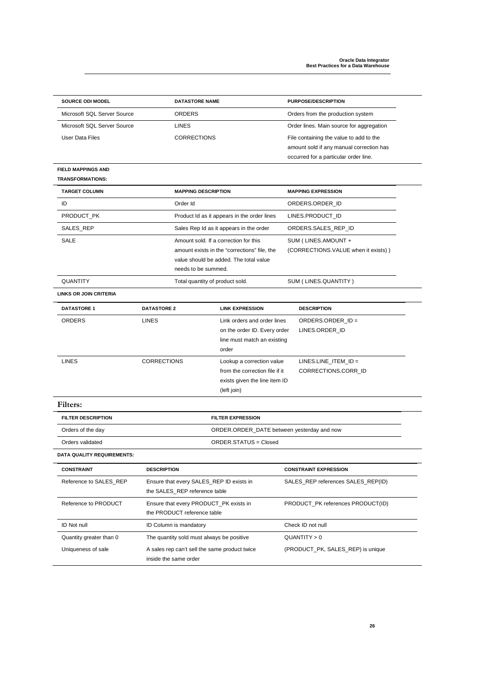| <b>SOURCE ODI MODEL</b>           | <b>DATASTORE NAME</b>                                                     |                                                             | <b>PURPOSE/DESCRIPTION</b>                     |  |
|-----------------------------------|---------------------------------------------------------------------------|-------------------------------------------------------------|------------------------------------------------|--|
| Microsoft SQL Server Source       | ORDERS                                                                    |                                                             | Orders from the production system              |  |
| Microsoft SQL Server Source       | <b>LINES</b>                                                              |                                                             | Order lines. Main source for aggregation       |  |
| User Data Files                   | <b>CORRECTIONS</b>                                                        |                                                             | File containing the value to add to the        |  |
|                                   |                                                                           |                                                             | amount sold if any manual correction has       |  |
|                                   |                                                                           |                                                             | occurred for a particular order line.          |  |
| <b>FIELD MAPPINGS AND</b>         |                                                                           |                                                             |                                                |  |
| <b>TRANSFORMATIONS:</b>           |                                                                           |                                                             |                                                |  |
| <b>TARGET COLUMN</b>              | <b>MAPPING DESCRIPTION</b>                                                |                                                             | <b>MAPPING EXPRESSION</b>                      |  |
| ID                                | Order Id                                                                  |                                                             | ORDERS.ORDER ID                                |  |
| PRODUCT_PK                        |                                                                           | Product Id as it appears in the order lines                 | LINES.PRODUCT_ID                               |  |
| SALES_REP                         |                                                                           | Sales Rep Id as it appears in the order                     | ORDERS.SALES_REP_ID                            |  |
| SALE                              |                                                                           | Amount sold. If a correction for this                       | SUM (LINES.AMOUNT +                            |  |
|                                   |                                                                           | amount exists in the "corrections" file, the                | (CORRECTIONS.VALUE when it exists))            |  |
|                                   |                                                                           | value should be added. The total value                      |                                                |  |
|                                   | needs to be summed.                                                       |                                                             |                                                |  |
| QUANTITY                          | Total quantity of product sold.                                           |                                                             | SUM (LINES.QUANTITY)                           |  |
| <b>LINKS OR JOIN CRITERIA</b>     |                                                                           |                                                             |                                                |  |
| <b>DATASTORE 1</b>                | <b>DATASTORE 2</b>                                                        | <b>LINK EXPRESSION</b>                                      | <b>DESCRIPTION</b>                             |  |
| ORDERS                            | LINES                                                                     | Link orders and order lines                                 | ORDERS.ORDER_ID =                              |  |
|                                   |                                                                           | on the order ID. Every order                                | LINES.ORDER_ID                                 |  |
|                                   |                                                                           | line must match an existing                                 |                                                |  |
|                                   |                                                                           | order                                                       |                                                |  |
| <b>LINES</b>                      | <b>CORRECTIONS</b>                                                        | Lookup a correction value<br>from the correction file if it | $LINES.LINE_ITEM_IID =$<br>CORRECTIONS.CORR_ID |  |
|                                   |                                                                           | exists given the line item ID                               |                                                |  |
|                                   |                                                                           | (left join)                                                 |                                                |  |
| Filters:                          |                                                                           |                                                             |                                                |  |
| <b>FILTER DESCRIPTION</b>         |                                                                           | <b>FILTER EXPRESSION</b>                                    |                                                |  |
|                                   |                                                                           |                                                             |                                                |  |
| Orders of the day                 | ORDER.ORDER_DATE between yesterday and now                                |                                                             |                                                |  |
|                                   | <b>ORDER.STATUS = Closed</b><br>Orders validated                          |                                                             |                                                |  |
| <b>DATA QUALITY REQUIREMENTS:</b> |                                                                           |                                                             |                                                |  |
| <b>CONSTRAINT</b>                 | <b>DESCRIPTION</b>                                                        |                                                             | <b>CONSTRAINT EXPRESSION</b>                   |  |
| Reference to SALES_REP            | Ensure that every SALES_REP ID exists in<br>the SALES_REP reference table |                                                             | SALES_REP references SALES_REP(ID)             |  |
| Reference to PRODUCT              | Ensure that every PRODUCT_PK exists in                                    |                                                             | PRODUCT PK references PRODUCT(ID)              |  |
|                                   | the PRODUCT reference table                                               |                                                             |                                                |  |
| <b>ID Not null</b>                | <b>ID Column is mandatory</b>                                             |                                                             | Check ID not null                              |  |
| Quantity greater than 0           | The quantity sold must always be positive                                 |                                                             | QUANTITY > 0                                   |  |
| Uniqueness of sale                | A sales rep can't sell the same product twice                             |                                                             | (PRODUCT_PK, SALES_REP) is unique              |  |
|                                   | inside the same order                                                     |                                                             |                                                |  |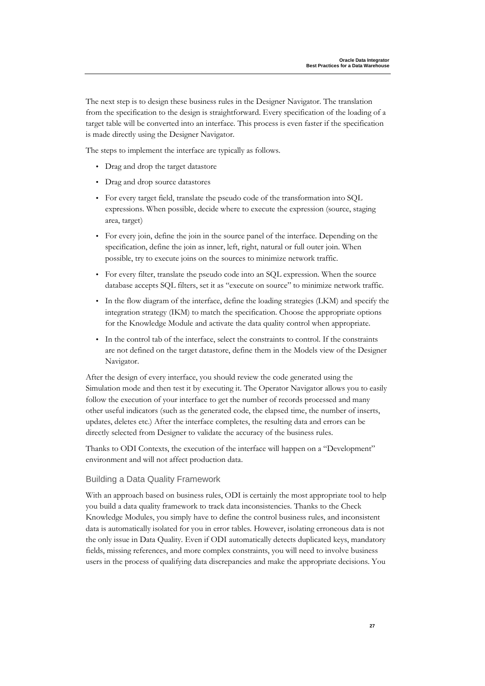The next step is to design these business rules in the Designer Navigator. The translation from the specification to the design is straightforward. Every specification of the loading of a target table will be converted into an interface. This process is even faster if the specification is made directly using the Designer Navigator.

The steps to implement the interface are typically as follows.

- Drag and drop the target datastore
- Drag and drop source datastores
- For every target field, translate the pseudo code of the transformation into SQL expressions. When possible, decide where to execute the expression (source, staging area, target)
- For every join, define the join in the source panel of the interface. Depending on the specification, define the join as inner, left, right, natural or full outer join. When possible, try to execute joins on the sources to minimize network traffic.
- For every filter, translate the pseudo code into an SQL expression. When the source database accepts SQL filters, set it as "execute on source" to minimize network traffic.
- In the flow diagram of the interface, define the loading strategies (LKM) and specify the integration strategy (IKM) to match the specification. Choose the appropriate options for the Knowledge Module and activate the data quality control when appropriate.
- In the control tab of the interface, select the constraints to control. If the constraints are not defined on the target datastore, define them in the Models view of the Designer Navigator.

After the design of every interface, you should review the code generated using the Simulation mode and then test it by executing it. The Operator Navigator allows you to easily follow the execution of your interface to get the number of records processed and many other useful indicators (such as the generated code, the elapsed time, the number of inserts, updates, deletes etc.) After the interface completes, the resulting data and errors can be directly selected from Designer to validate the accuracy of the business rules.

Thanks to ODI Contexts, the execution of the interface will happen on a "Development" environment and will not affect production data.

#### Building a Data Quality Framework

With an approach based on business rules, ODI is certainly the most appropriate tool to help you build a data quality framework to track data inconsistencies. Thanks to the Check Knowledge Modules, you simply have to define the control business rules, and inconsistent data is automatically isolated for you in error tables. However, isolating erroneous data is not the only issue in Data Quality. Even if ODI automatically detects duplicated keys, mandatory fields, missing references, and more complex constraints, you will need to involve business users in the process of qualifying data discrepancies and make the appropriate decisions. You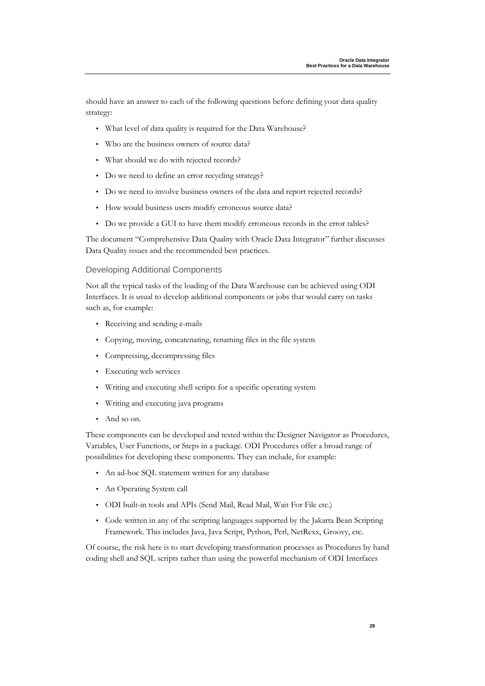should have an answer to each of the following questions before defining your data quality strategy:

- What level of data quality is required for the Data Warehouse?
- Who are the business owners of source data?
- What should we do with rejected records?
- Do we need to define an error recycling strategy?
- Do we need to involve business owners of the data and report rejected records?
- How would business users modify erroneous source data?
- Do we provide a GUI to have them modify erroneous records in the error tables?

The document "Comprehensive Data Quality with Oracle Data Integrator" further discusses Data Quality issues and the recommended best practices.

#### Developing Additional Components

Not all the typical tasks of the loading of the Data Warehouse can be achieved using ODI Interfaces. It is usual to develop additional components or jobs that would carry on tasks such as, for example:

- Receiving and sending e-mails
- Copying, moving, concatenating, renaming files in the file system
- Compressing, decompressing files
- Executing web services
- Writing and executing shell scripts for a specific operating system
- Writing and executing java programs
- And so on.

These components can be developed and tested within the Designer Navigator as Procedures, Variables, User Functions, or Steps in a package. ODI Procedures offer a broad range of possibilities for developing these components. They can include, for example:

- An ad-hoc SQL statement written for any database
- An Operating System call
- ODI built-in tools and APIs (Send Mail, Read Mail, Wait For File etc.)
- Code written in any of the scripting languages supported by the Jakarta Bean Scripting Framework. This includes Java, Java Script, Python, Perl, NetRexx, Groovy, etc.

Of course, the risk here is to start developing transformation processes as Procedures by hand coding shell and SQL scripts rather than using the powerful mechanism of ODI Interfaces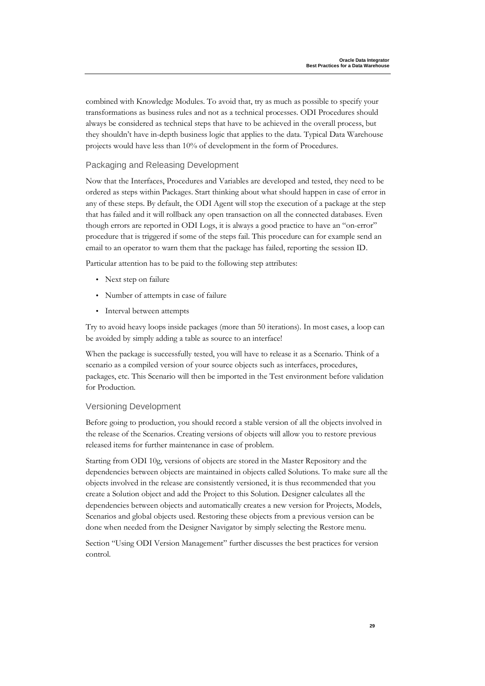combined with Knowledge Modules. To avoid that, try as much as possible to specify your transformations as business rules and not as a technical processes. ODI Procedures should always be considered as technical steps that have to be achieved in the overall process, but they shouldn't have in-depth business logic that applies to the data. Typical Data Warehouse projects would have less than 10% of development in the form of Procedures.

Packaging and Releasing Development

Now that the Interfaces, Procedures and Variables are developed and tested, they need to be ordered as steps within Packages. Start thinking about what should happen in case of error in any of these steps. By default, the ODI Agent will stop the execution of a package at the step that has failed and it will rollback any open transaction on all the connected databases. Even though errors are reported in ODI Logs, it is always a good practice to have an "on-error" procedure that is triggered if some of the steps fail. This procedure can for example send an email to an operator to warn them that the package has failed, reporting the session ID.

Particular attention has to be paid to the following step attributes:

- Next step on failure
- Number of attempts in case of failure
- Interval between attempts

Try to avoid heavy loops inside packages (more than 50 iterations). In most cases, a loop can be avoided by simply adding a table as source to an interface!

When the package is successfully tested, you will have to release it as a Scenario. Think of a scenario as a compiled version of your source objects such as interfaces, procedures, packages, etc. This Scenario will then be imported in the Test environment before validation for Production.

#### Versioning Development

Before going to production, you should record a stable version of all the objects involved in the release of the Scenarios. Creating versions of objects will allow you to restore previous released items for further maintenance in case of problem.

Starting from ODI 10g, versions of objects are stored in the Master Repository and the dependencies between objects are maintained in objects called Solutions. To make sure all the objects involved in the release are consistently versioned, it is thus recommended that you create a Solution object and add the Project to this Solution. Designer calculates all the dependencies between objects and automatically creates a new version for Projects, Models, Scenarios and global objects used. Restoring these objects from a previous version can be done when needed from the Designer Navigator by simply selecting the Restore menu.

Section "Using ODI Version Management" further discusses the best practices for version control.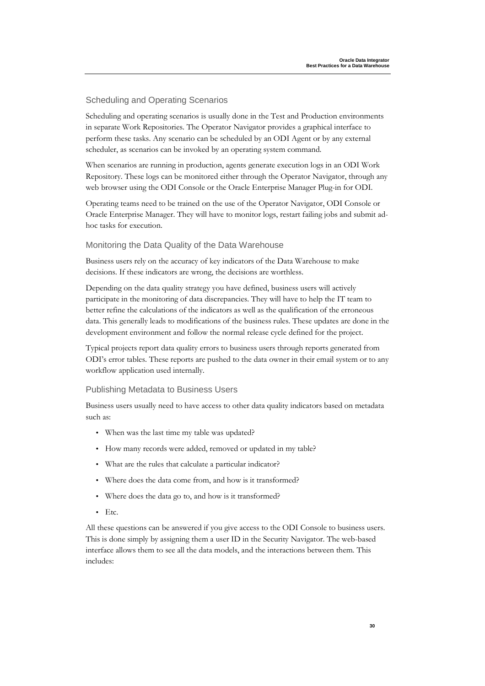#### Scheduling and Operating Scenarios

Scheduling and operating scenarios is usually done in the Test and Production environments in separate Work Repositories. The Operator Navigator provides a graphical interface to perform these tasks. Any scenario can be scheduled by an ODI Agent or by any external scheduler, as scenarios can be invoked by an operating system command.

When scenarios are running in production, agents generate execution logs in an ODI Work Repository. These logs can be monitored either through the Operator Navigator, through any web browser using the ODI Console or the Oracle Enterprise Manager Plug-in for ODI.

Operating teams need to be trained on the use of the Operator Navigator, ODI Console or Oracle Enterprise Manager. They will have to monitor logs, restart failing jobs and submit adhoc tasks for execution.

#### Monitoring the Data Quality of the Data Warehouse

Business users rely on the accuracy of key indicators of the Data Warehouse to make decisions. If these indicators are wrong, the decisions are worthless.

Depending on the data quality strategy you have defined, business users will actively participate in the monitoring of data discrepancies. They will have to help the IT team to better refine the calculations of the indicators as well as the qualification of the erroneous data. This generally leads to modifications of the business rules. These updates are done in the development environment and follow the normal release cycle defined for the project.

Typical projects report data quality errors to business users through reports generated from ODI's error tables. These reports are pushed to the data owner in their email system or to any workflow application used internally.

#### Publishing Metadata to Business Users

Business users usually need to have access to other data quality indicators based on metadata such as:

- When was the last time my table was updated?
- How many records were added, removed or updated in my table?
- What are the rules that calculate a particular indicator?
- Where does the data come from, and how is it transformed?
- Where does the data go to, and how is it transformed?
- Etc.

All these questions can be answered if you give access to the ODI Console to business users. This is done simply by assigning them a user ID in the Security Navigator. The web-based interface allows them to see all the data models, and the interactions between them. This includes: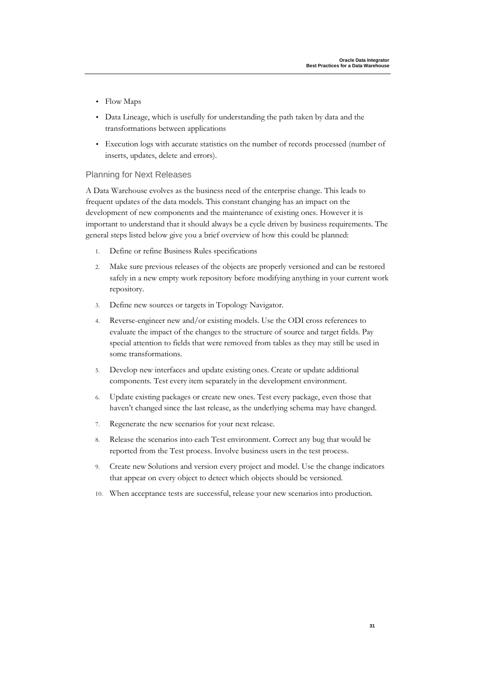- Flow Maps
- Data Lineage, which is usefully for understanding the path taken by data and the transformations between applications
- Execution logs with accurate statistics on the number of records processed (number of inserts, updates, delete and errors).

#### Planning for Next Releases

A Data Warehouse evolves as the business need of the enterprise change. This leads to frequent updates of the data models. This constant changing has an impact on the development of new components and the maintenance of existing ones. However it is important to understand that it should always be a cycle driven by business requirements. The general steps listed below give you a brief overview of how this could be planned:

- 1. Define or refine Business Rules specifications
- 2. Make sure previous releases of the objects are properly versioned and can be restored safely in a new empty work repository before modifying anything in your current work repository.
- 3. Define new sources or targets in Topology Navigator.
- 4. Reverse-engineer new and/or existing models. Use the ODI cross references to evaluate the impact of the changes to the structure of source and target fields. Pay special attention to fields that were removed from tables as they may still be used in some transformations.
- 5. Develop new interfaces and update existing ones. Create or update additional components. Test every item separately in the development environment.
- 6. Update existing packages or create new ones. Test every package, even those that haven't changed since the last release, as the underlying schema may have changed.
- 7. Regenerate the new scenarios for your next release.
- 8. Release the scenarios into each Test environment. Correct any bug that would be reported from the Test process. Involve business users in the test process.
- 9. Create new Solutions and version every project and model. Use the change indicators that appear on every object to detect which objects should be versioned.
- When acceptance tests are successful, release your new scenarios into production.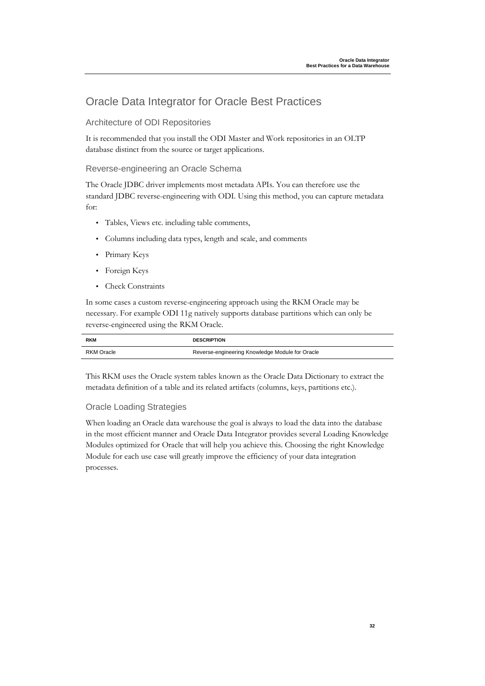### Oracle Data Integrator for Oracle Best Practices

Architecture of ODI Repositories

It is recommended that you install the ODI Master and Work repositories in an OLTP database distinct from the source or target applications.

#### Reverse-engineering an Oracle Schema

The Oracle JDBC driver implements most metadata APIs. You can therefore use the standard JDBC reverse-engineering with ODI. Using this method, you can capture metadata for:

- Tables, Views etc. including table comments,
- Columns including data types, length and scale, and comments
- Primary Keys
- Foreign Keys
- Check Constraints

In some cases a custom reverse-engineering approach using the RKM Oracle may be necessary. For example ODI 11g natively supports database partitions which can only be reverse-engineered using the RKM Oracle.

| <b>RKM</b>        | <b>DESCRIPTION</b>                              |
|-------------------|-------------------------------------------------|
| <b>RKM Oracle</b> | Reverse-engineering Knowledge Module for Oracle |

This RKM uses the Oracle system tables known as the Oracle Data Dictionary to extract the metadata definition of a table and its related artifacts (columns, keys, partitions etc.).

#### Oracle Loading Strategies

When loading an Oracle data warehouse the goal is always to load the data into the database in the most efficient manner and Oracle Data Integrator provides several Loading Knowledge Modules optimized for Oracle that will help you achieve this. Choosing the right Knowledge Module for each use case will greatly improve the efficiency of your data integration processes.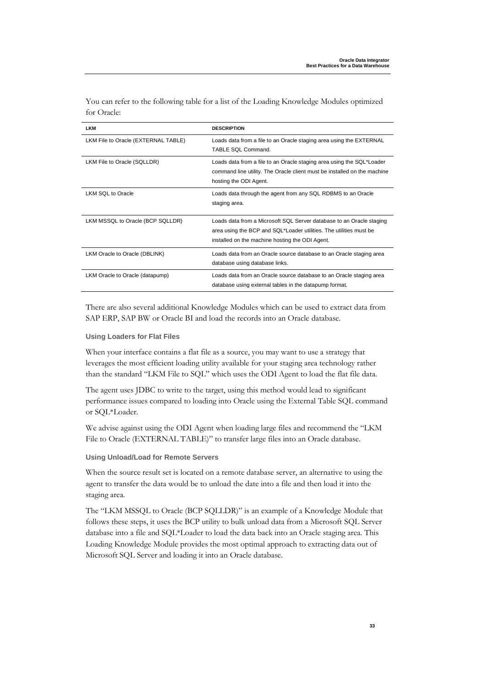| <b>LKM</b>                          | <b>DESCRIPTION</b>                                                                                                                                                                            |
|-------------------------------------|-----------------------------------------------------------------------------------------------------------------------------------------------------------------------------------------------|
| LKM File to Oracle (EXTERNAL TABLE) | Loads data from a file to an Oracle staging area using the EXTERNAL<br>TABLE SOL Command.                                                                                                     |
| LKM File to Oracle (SQLLDR)         | Loads data from a file to an Oracle staging area using the SQL*Loader<br>command line utility. The Oracle client must be installed on the machine<br>hosting the ODI Agent.                   |
| <b>LKM SQL to Oracle</b>            | Loads data through the agent from any SQL RDBMS to an Oracle<br>staging area.                                                                                                                 |
| LKM MSSQL to Oracle (BCP SQLLDR)    | Loads data from a Microsoft SQL Server database to an Oracle staging<br>area using the BCP and SQL*Loader utilities. The utilities must be<br>installed on the machine hosting the ODI Agent. |
| LKM Oracle to Oracle (DBLINK)       | Loads data from an Oracle source database to an Oracle staging area<br>database using database links.                                                                                         |
| LKM Oracle to Oracle (datapump)     | Loads data from an Oracle source database to an Oracle staging area<br>database using external tables in the datapump format.                                                                 |

You can refer to the following table for a list of the Loading Knowledge Modules optimized for Oracle:

There are also several additional Knowledge Modules which can be used to extract data from SAP ERP, SAP BW or Oracle BI and load the records into an Oracle database.

#### **Using Loaders for Flat Files**

When your interface contains a flat file as a source, you may want to use a strategy that leverages the most efficient loading utility available for your staging area technology rather than the standard "LKM File to SQL" which uses the ODI Agent to load the flat file data.

The agent uses JDBC to write to the target, using this method would lead to significant performance issues compared to loading into Oracle using the External Table SQL command or SQL\*Loader.

We advise against using the ODI Agent when loading large files and recommend the "LKM File to Oracle (EXTERNAL TABLE)" to transfer large files into an Oracle database.

#### **Using Unload/Load for Remote Servers**

When the source result set is located on a remote database server, an alternative to using the agent to transfer the data would be to unload the date into a file and then load it into the staging area.

The "LKM MSSQL to Oracle (BCP SQLLDR)" is an example of a Knowledge Module that follows these steps, it uses the BCP utility to bulk unload data from a Microsoft SQL Server database into a file and SQL\*Loader to load the data back into an Oracle staging area. This Loading Knowledge Module provides the most optimal approach to extracting data out of Microsoft SQL Server and loading it into an Oracle database.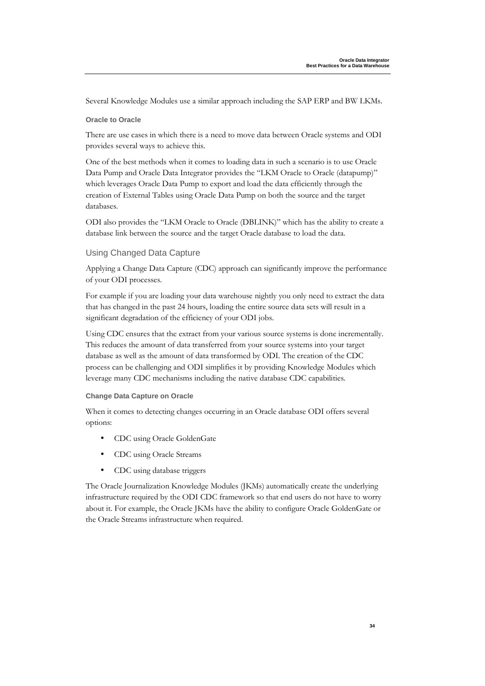Several Knowledge Modules use a similar approach including the SAP ERP and BW LKMs.

#### **Oracle to Oracle**

There are use cases in which there is a need to move data between Oracle systems and ODI provides several ways to achieve this.

One of the best methods when it comes to loading data in such a scenario is to use Oracle Data Pump and Oracle Data Integrator provides the "LKM Oracle to Oracle (datapump)" which leverages Oracle Data Pump to export and load the data efficiently through the creation of External Tables using Oracle Data Pump on both the source and the target databases.

ODI also provides the "LKM Oracle to Oracle (DBLINK)" which has the ability to create a database link between the source and the target Oracle database to load the data.

#### Using Changed Data Capture

Applying a Change Data Capture (CDC) approach can significantly improve the performance of your ODI processes.

For example if you are loading your data warehouse nightly you only need to extract the data that has changed in the past 24 hours, loading the entire source data sets will result in a significant degradation of the efficiency of your ODI jobs.

Using CDC ensures that the extract from your various source systems is done incrementally. This reduces the amount of data transferred from your source systems into your target database as well as the amount of data transformed by ODI. The creation of the CDC process can be challenging and ODI simplifies it by providing Knowledge Modules which leverage many CDC mechanisms including the native database CDC capabilities.

#### **Change Data Capture on Oracle**

When it comes to detecting changes occurring in an Oracle database ODI offers several options:

- CDC using Oracle GoldenGate
- CDC using Oracle Streams
- CDC using database triggers

The Oracle Journalization Knowledge Modules (JKMs) automatically create the underlying infrastructure required by the ODI CDC framework so that end users do not have to worry about it. For example, the Oracle JKMs have the ability to configure Oracle GoldenGate or the Oracle Streams infrastructure when required.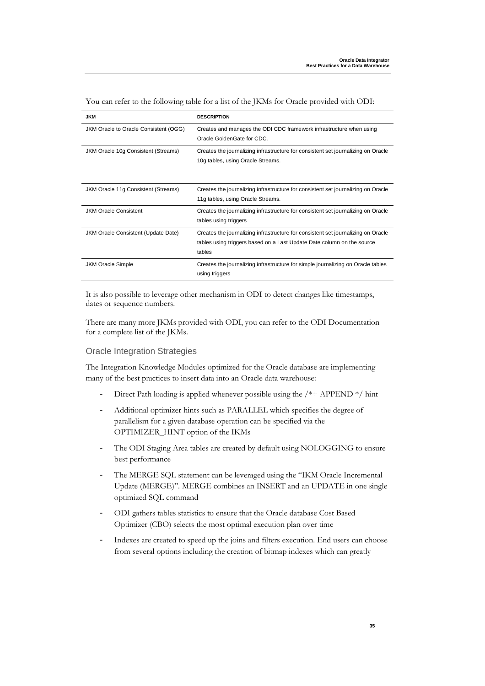| <b>JKM</b>                            | <b>DESCRIPTION</b>                                                                                                                                                    |
|---------------------------------------|-----------------------------------------------------------------------------------------------------------------------------------------------------------------------|
| JKM Oracle to Oracle Consistent (OGG) | Creates and manages the ODI CDC framework infrastructure when using<br>Oracle GoldenGate for CDC.                                                                     |
| JKM Oracle 10g Consistent (Streams)   | Creates the journalizing infrastructure for consistent set journalizing on Oracle<br>10g tables, using Oracle Streams.                                                |
| JKM Oracle 11g Consistent (Streams)   | Creates the journalizing infrastructure for consistent set journalizing on Oracle<br>11g tables, using Oracle Streams.                                                |
| <b>JKM Oracle Consistent</b>          | Creates the journalizing infrastructure for consistent set journalizing on Oracle<br>tables using triggers                                                            |
| JKM Oracle Consistent (Update Date)   | Creates the journalizing infrastructure for consistent set journalizing on Oracle<br>tables using triggers based on a Last Update Date column on the source<br>tables |
| <b>JKM Oracle Simple</b>              | Creates the journalizing infrastructure for simple journalizing on Oracle tables<br>using triggers                                                                    |

You can refer to the following table for a list of the JKMs for Oracle provided with ODI:

It is also possible to leverage other mechanism in ODI to detect changes like timestamps, dates or sequence numbers.

There are many more JKMs provided with ODI, you can refer to the ODI Documentation for a complete list of the JKMs.

#### Oracle Integration Strategies

The Integration Knowledge Modules optimized for the Oracle database are implementing many of the best practices to insert data into an Oracle data warehouse:

- Direct Path loading is applied whenever possible using the /\*+ APPEND \*/ hint
- Additional optimizer hints such as PARALLEL which specifies the degree of parallelism for a given database operation can be specified via the OPTIMIZER\_HINT option of the IKMs
- The ODI Staging Area tables are created by default using NOLOGGING to ensure best performance
- The MERGE SQL statement can be leveraged using the "IKM Oracle Incremental Update (MERGE)". MERGE combines an INSERT and an UPDATE in one single optimized SQL command
- ODI gathers tables statistics to ensure that the Oracle database Cost Based Optimizer (CBO) selects the most optimal execution plan over time
- Indexes are created to speed up the joins and filters execution. End users can choose from several options including the creation of bitmap indexes which can greatly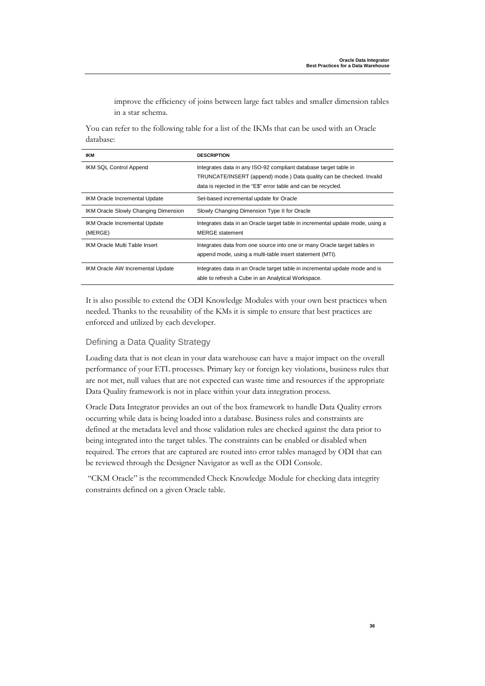improve the efficiency of joins between large fact tables and smaller dimension tables in a star schema.

You can refer to the following table for a list of the IKMs that can be used with an Oracle database:

| <b>IKM</b>                               | <b>DESCRIPTION</b>                                                                                                                                                                                         |
|------------------------------------------|------------------------------------------------------------------------------------------------------------------------------------------------------------------------------------------------------------|
| IKM SQL Control Append                   | Integrates data in any ISO-92 compliant database target table in<br>TRUNCATE/INSERT (append) mode.) Data quality can be checked. Invalid<br>data is rejected in the "E\$" error table and can be recycled. |
| IKM Oracle Incremental Update            | Set-based incremental update for Oracle                                                                                                                                                                    |
| IKM Oracle Slowly Changing Dimension     | Slowly Changing Dimension Type II for Oracle                                                                                                                                                               |
| IKM Oracle Incremental Update<br>(MERGE) | Integrates data in an Oracle target table in incremental update mode, using a<br><b>MERGE</b> statement                                                                                                    |
| IKM Oracle Multi Table Insert            | Integrates data from one source into one or many Oracle target tables in<br>append mode, using a multi-table insert statement (MTI).                                                                       |
| IKM Oracle AW Incremental Update         | Integrates data in an Oracle target table in incremental update mode and is<br>able to refresh a Cube in an Analytical Workspace.                                                                          |

It is also possible to extend the ODI Knowledge Modules with your own best practices when needed. Thanks to the reusability of the KMs it is simple to ensure that best practices are enforced and utilized by each developer.

#### Defining a Data Quality Strategy

Loading data that is not clean in your data warehouse can have a major impact on the overall performance of your ETL processes. Primary key or foreign key violations, business rules that are not met, null values that are not expected can waste time and resources if the appropriate Data Quality framework is not in place within your data integration process.

Oracle Data Integrator provides an out of the box framework to handle Data Quality errors occurring while data is being loaded into a database. Business rules and constraints are defined at the metadata level and those validation rules are checked against the data prior to being integrated into the target tables. The constraints can be enabled or disabled when required. The errors that are captured are routed into error tables managed by ODI that can be reviewed through the Designer Navigator as well as the ODI Console.

 "CKM Oracle" is the recommended Check Knowledge Module for checking data integrity constraints defined on a given Oracle table.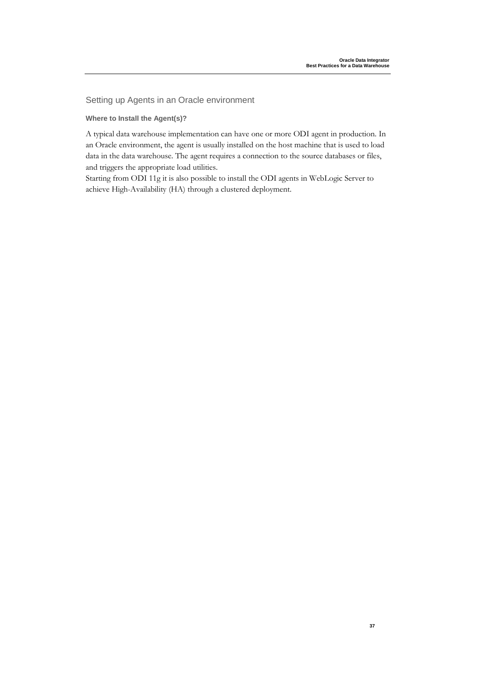Setting up Agents in an Oracle environment

#### **Where to Install the Agent(s)?**

A typical data warehouse implementation can have one or more ODI agent in production. In an Oracle environment, the agent is usually installed on the host machine that is used to load data in the data warehouse. The agent requires a connection to the source databases or files, and triggers the appropriate load utilities.

Starting from ODI 11g it is also possible to install the ODI agents in WebLogic Server to achieve High-Availability (HA) through a clustered deployment.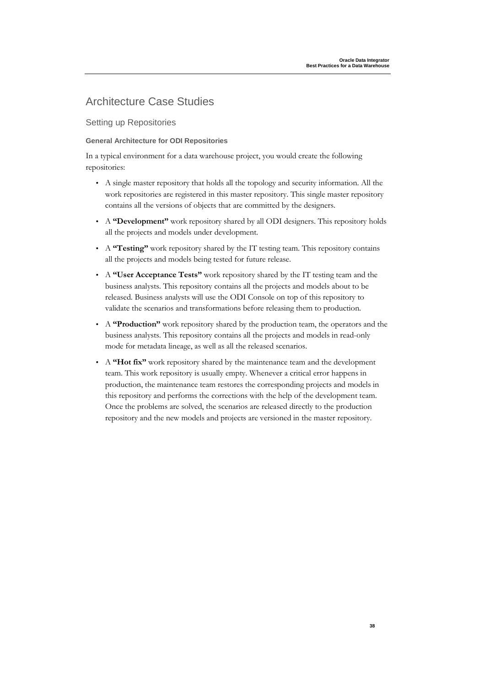### Architecture Case Studies

Setting up Repositories

#### **General Architecture for ODI Repositories**

In a typical environment for a data warehouse project, you would create the following repositories:

- A single master repository that holds all the topology and security information. All the work repositories are registered in this master repository. This single master repository contains all the versions of objects that are committed by the designers.
- A **"Development"** work repository shared by all ODI designers. This repository holds all the projects and models under development.
- A **"Testing"** work repository shared by the IT testing team. This repository contains all the projects and models being tested for future release.
- A **"User Acceptance Tests"** work repository shared by the IT testing team and the business analysts. This repository contains all the projects and models about to be released. Business analysts will use the ODI Console on top of this repository to validate the scenarios and transformations before releasing them to production.
- A **"Production"** work repository shared by the production team, the operators and the business analysts. This repository contains all the projects and models in read-only mode for metadata lineage, as well as all the released scenarios.
- A **"Hot fix"** work repository shared by the maintenance team and the development team. This work repository is usually empty. Whenever a critical error happens in production, the maintenance team restores the corresponding projects and models in this repository and performs the corrections with the help of the development team. Once the problems are solved, the scenarios are released directly to the production repository and the new models and projects are versioned in the master repository.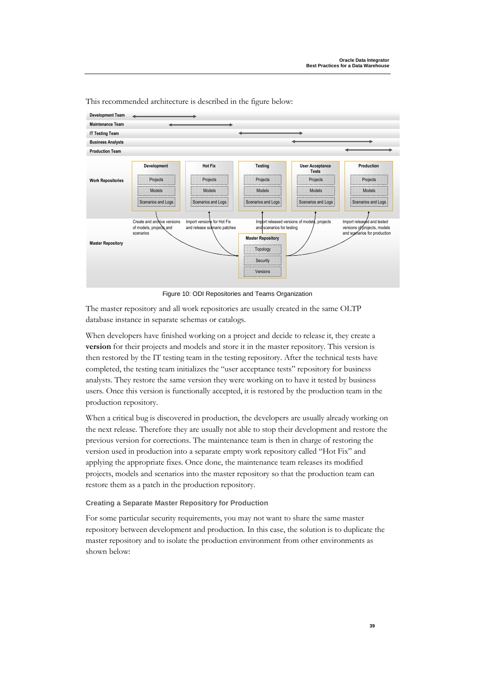

This recommended architecture is described in the figure below:

Figure 10: ODI Repositories and Teams Organization

The master repository and all work repositories are usually created in the same OLTP database instance in separate schemas or catalogs.

When developers have finished working on a project and decide to release it, they create a **version** for their projects and models and store it in the master repository. This version is then restored by the IT testing team in the testing repository. After the technical tests have completed, the testing team initializes the "user acceptance tests" repository for business analysts. They restore the same version they were working on to have it tested by business users. Once this version is functionally accepted, it is restored by the production team in the production repository.

When a critical bug is discovered in production, the developers are usually already working on the next release. Therefore they are usually not able to stop their development and restore the previous version for corrections. The maintenance team is then in charge of restoring the version used in production into a separate empty work repository called "Hot Fix" and applying the appropriate fixes. Once done, the maintenance team releases its modified projects, models and scenarios into the master repository so that the production team can restore them as a patch in the production repository.

#### **Creating a Separate Master Repository for Production**

For some particular security requirements, you may not want to share the same master repository between development and production. In this case, the solution is to duplicate the master repository and to isolate the production environment from other environments as shown below: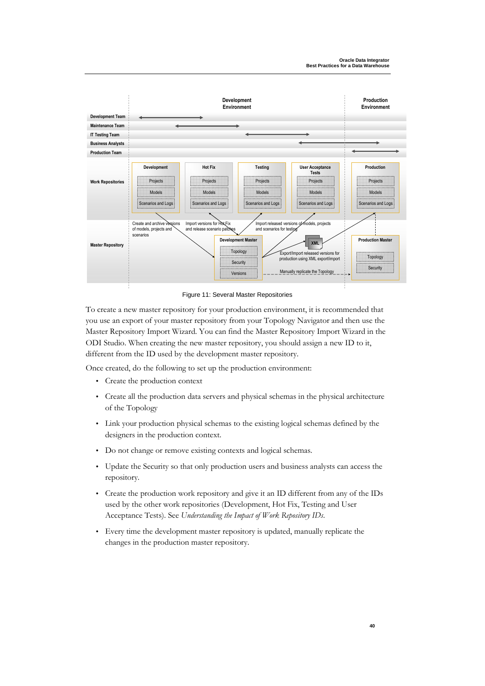

Figure 11: Several Master Repositories

To create a new master repository for your production environment, it is recommended that you use an export of your master repository from your Topology Navigator and then use the Master Repository Import Wizard. You can find the Master Repository Import Wizard in the ODI Studio. When creating the new master repository, you should assign a new ID to it, different from the ID used by the development master repository.

Once created, do the following to set up the production environment:

- Create the production context
- Create all the production data servers and physical schemas in the physical architecture of the Topology
- Link your production physical schemas to the existing logical schemas defined by the designers in the production context.
- Do not change or remove existing contexts and logical schemas.
- Update the Security so that only production users and business analysts can access the repository.
- Create the production work repository and give it an ID different from any of the IDs used by the other work repositories (Development, Hot Fix, Testing and User Acceptance Tests). See *Understanding the Impact of Work Repository IDs*.
- Every time the development master repository is updated, manually replicate the changes in the production master repository.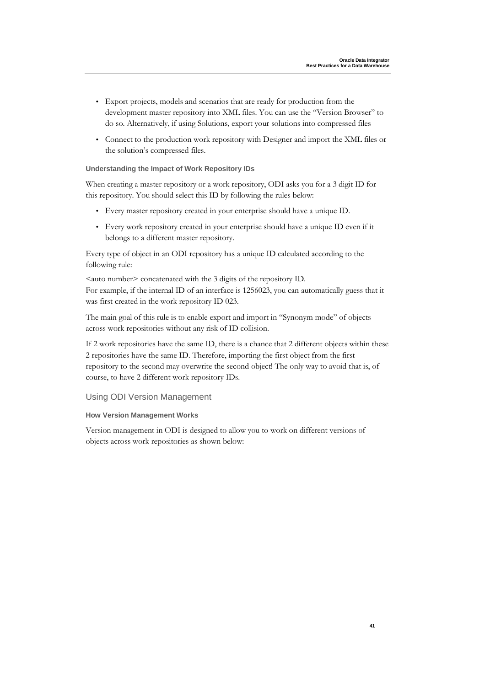- Export projects, models and scenarios that are ready for production from the development master repository into XML files. You can use the "Version Browser" to do so. Alternatively, if using Solutions, export your solutions into compressed files
- Connect to the production work repository with Designer and import the XML files or the solution's compressed files.

#### **Understanding the Impact of Work Repository IDs**

When creating a master repository or a work repository, ODI asks you for a 3 digit ID for this repository. You should select this ID by following the rules below:

- Every master repository created in your enterprise should have a unique ID.
- Every work repository created in your enterprise should have a unique ID even if it belongs to a different master repository.

Every type of object in an ODI repository has a unique ID calculated according to the following rule:

<auto number> concatenated with the 3 digits of the repository ID. For example, if the internal ID of an interface is 1256023, you can automatically guess that it was first created in the work repository ID 023.

The main goal of this rule is to enable export and import in "Synonym mode" of objects across work repositories without any risk of ID collision.

If 2 work repositories have the same ID, there is a chance that 2 different objects within these 2 repositories have the same ID. Therefore, importing the first object from the first repository to the second may overwrite the second object! The only way to avoid that is, of course, to have 2 different work repository IDs.

### Using ODI Version Management

#### **How Version Management Works**

Version management in ODI is designed to allow you to work on different versions of objects across work repositories as shown below: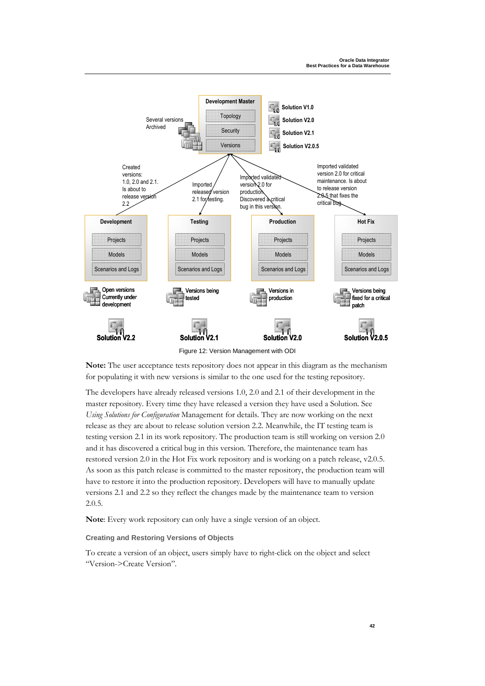

**Note:** The user acceptance tests repository does not appear in this diagram as the mechanism for populating it with new versions is similar to the one used for the testing repository.

The developers have already released versions 1.0, 2.0 and 2.1 of their development in the master repository. Every time they have released a version they have used a Solution. See *Using Solutions for Configuration* Management for details. They are now working on the next release as they are about to release solution version 2.2. Meanwhile, the IT testing team is testing version 2.1 in its work repository. The production team is still working on version 2.0 and it has discovered a critical bug in this version. Therefore, the maintenance team has restored version 2.0 in the Hot Fix work repository and is working on a patch release, v2.0.5. As soon as this patch release is committed to the master repository, the production team will have to restore it into the production repository. Developers will have to manually update versions 2.1 and 2.2 so they reflect the changes made by the maintenance team to version 2.0.5.

**Note**: Every work repository can only have a single version of an object.

**Creating and Restoring Versions of Objects** 

To create a version of an object, users simply have to right-click on the object and select "Version->Create Version".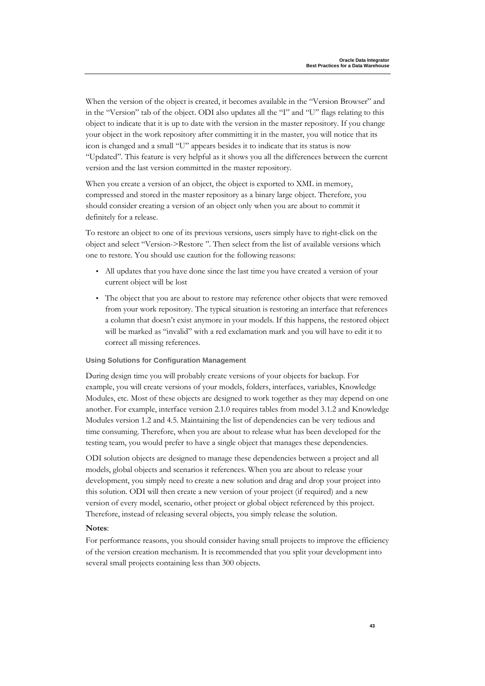When the version of the object is created, it becomes available in the "Version Browser" and in the "Version" tab of the object. ODI also updates all the "I" and "U" flags relating to this object to indicate that it is up to date with the version in the master repository. If you change your object in the work repository after committing it in the master, you will notice that its icon is changed and a small "U" appears besides it to indicate that its status is now "Updated". This feature is very helpful as it shows you all the differences between the current version and the last version committed in the master repository.

When you create a version of an object, the object is exported to XML in memory, compressed and stored in the master repository as a binary large object. Therefore, you should consider creating a version of an object only when you are about to commit it definitely for a release.

To restore an object to one of its previous versions, users simply have to right-click on the object and select "Version->Restore ". Then select from the list of available versions which one to restore. You should use caution for the following reasons:

- All updates that you have done since the last time you have created a version of your current object will be lost
- The object that you are about to restore may reference other objects that were removed from your work repository. The typical situation is restoring an interface that references a column that doesn't exist anymore in your models. If this happens, the restored object will be marked as "invalid" with a red exclamation mark and you will have to edit it to correct all missing references.

#### **Using Solutions for Configuration Management**

During design time you will probably create versions of your objects for backup. For example, you will create versions of your models, folders, interfaces, variables, Knowledge Modules, etc. Most of these objects are designed to work together as they may depend on one another. For example, interface version 2.1.0 requires tables from model 3.1.2 and Knowledge Modules version 1.2 and 4.5. Maintaining the list of dependencies can be very tedious and time consuming. Therefore, when you are about to release what has been developed for the testing team, you would prefer to have a single object that manages these dependencies.

ODI solution objects are designed to manage these dependencies between a project and all models, global objects and scenarios it references. When you are about to release your development, you simply need to create a new solution and drag and drop your project into this solution. ODI will then create a new version of your project (if required) and a new version of every model, scenario, other project or global object referenced by this project. Therefore, instead of releasing several objects, you simply release the solution.

#### **Notes**:

For performance reasons, you should consider having small projects to improve the efficiency of the version creation mechanism. It is recommended that you split your development into several small projects containing less than 300 objects.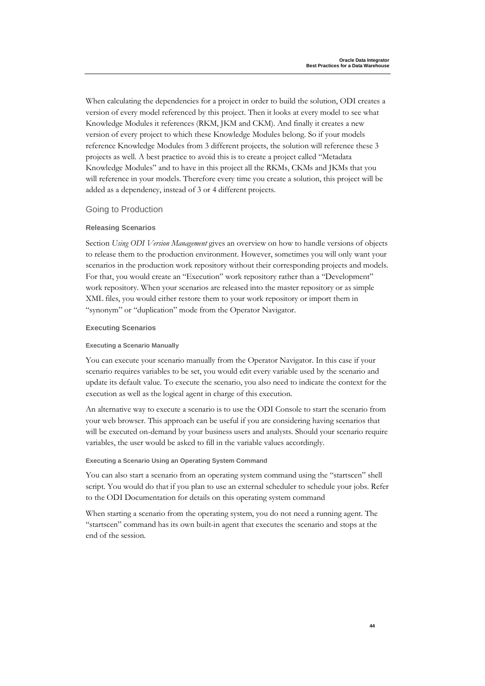When calculating the dependencies for a project in order to build the solution, ODI creates a version of every model referenced by this project. Then it looks at every model to see what Knowledge Modules it references (RKM, JKM and CKM). And finally it creates a new version of every project to which these Knowledge Modules belong. So if your models reference Knowledge Modules from 3 different projects, the solution will reference these 3 projects as well. A best practice to avoid this is to create a project called "Metadata Knowledge Modules" and to have in this project all the RKMs, CKMs and JKMs that you will reference in your models. Therefore every time you create a solution, this project will be added as a dependency, instead of 3 or 4 different projects.

#### Going to Production

#### **Releasing Scenarios**

Section *Using ODI Version Management* gives an overview on how to handle versions of objects to release them to the production environment. However, sometimes you will only want your scenarios in the production work repository without their corresponding projects and models. For that, you would create an "Execution" work repository rather than a "Development" work repository. When your scenarios are released into the master repository or as simple XML files, you would either restore them to your work repository or import them in "synonym" or "duplication" mode from the Operator Navigator.

#### **Executing Scenarios**

#### **Executing a Scenario Manually**

You can execute your scenario manually from the Operator Navigator. In this case if your scenario requires variables to be set, you would edit every variable used by the scenario and update its default value. To execute the scenario, you also need to indicate the context for the execution as well as the logical agent in charge of this execution.

An alternative way to execute a scenario is to use the ODI Console to start the scenario from your web browser. This approach can be useful if you are considering having scenarios that will be executed on-demand by your business users and analysts. Should your scenario require variables, the user would be asked to fill in the variable values accordingly.

#### **Executing a Scenario Using an Operating System Command**

You can also start a scenario from an operating system command using the "startscen" shell script. You would do that if you plan to use an external scheduler to schedule your jobs. Refer to the ODI Documentation for details on this operating system command

When starting a scenario from the operating system, you do not need a running agent. The "startscen" command has its own built-in agent that executes the scenario and stops at the end of the session.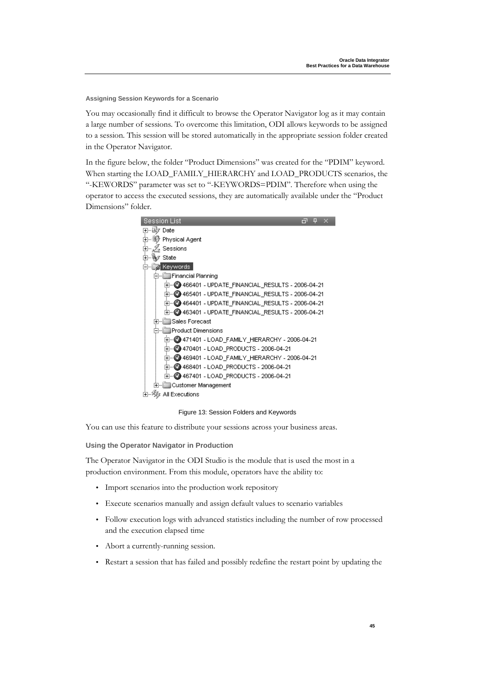**Assigning Session Keywords for a Scenario** 

You may occasionally find it difficult to browse the Operator Navigator log as it may contain a large number of sessions. To overcome this limitation, ODI allows keywords to be assigned to a session. This session will be stored automatically in the appropriate session folder created in the Operator Navigator.

In the figure below, the folder "Product Dimensions" was created for the "PDIM" keyword. When starting the LOAD\_FAMILY\_HIERARCHY and LOAD\_PRODUCTS scenarios, the "-KEWORDS" parameter was set to "-KEYWORDS=PDIM". Therefore when using the operator to access the executed sessions, they are automatically available under the "Product Dimensions" folder.



#### Figure 13: Session Folders and Keywords

You can use this feature to distribute your sessions across your business areas.

**Using the Operator Navigator in Production** 

The Operator Navigator in the ODI Studio is the module that is used the most in a production environment. From this module, operators have the ability to:

- Import scenarios into the production work repository
- Execute scenarios manually and assign default values to scenario variables
- Follow execution logs with advanced statistics including the number of row processed and the execution elapsed time
- Abort a currently-running session.
- Restart a session that has failed and possibly redefine the restart point by updating the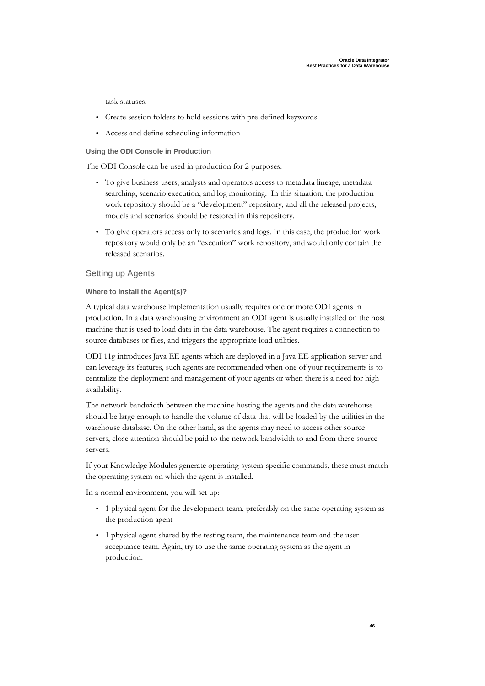task statuses.

- Create session folders to hold sessions with pre-defined keywords
- Access and define scheduling information

#### **Using the ODI Console in Production**

The ODI Console can be used in production for 2 purposes:

- To give business users, analysts and operators access to metadata lineage, metadata searching, scenario execution, and log monitoring. In this situation, the production work repository should be a "development" repository, and all the released projects, models and scenarios should be restored in this repository.
- To give operators access only to scenarios and logs. In this case, the production work repository would only be an "execution" work repository, and would only contain the released scenarios.

#### Setting up Agents

#### **Where to Install the Agent(s)?**

A typical data warehouse implementation usually requires one or more ODI agents in production. In a data warehousing environment an ODI agent is usually installed on the host machine that is used to load data in the data warehouse. The agent requires a connection to source databases or files, and triggers the appropriate load utilities.

ODI 11g introduces Java EE agents which are deployed in a Java EE application server and can leverage its features, such agents are recommended when one of your requirements is to centralize the deployment and management of your agents or when there is a need for high availability.

The network bandwidth between the machine hosting the agents and the data warehouse should be large enough to handle the volume of data that will be loaded by the utilities in the warehouse database. On the other hand, as the agents may need to access other source servers, close attention should be paid to the network bandwidth to and from these source servers.

If your Knowledge Modules generate operating-system-specific commands, these must match the operating system on which the agent is installed.

In a normal environment, you will set up:

- 1 physical agent for the development team, preferably on the same operating system as the production agent
- 1 physical agent shared by the testing team, the maintenance team and the user acceptance team. Again, try to use the same operating system as the agent in production.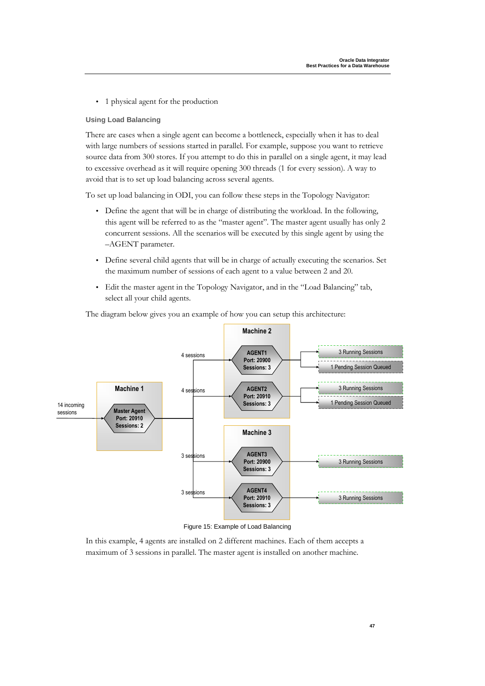• 1 physical agent for the production

#### **Using Load Balancing**

There are cases when a single agent can become a bottleneck, especially when it has to deal with large numbers of sessions started in parallel. For example, suppose you want to retrieve source data from 300 stores. If you attempt to do this in parallel on a single agent, it may lead to excessive overhead as it will require opening 300 threads (1 for every session). A way to avoid that is to set up load balancing across several agents.

To set up load balancing in ODI, you can follow these steps in the Topology Navigator:

- Define the agent that will be in charge of distributing the workload. In the following, this agent will be referred to as the "master agent". The master agent usually has only 2 concurrent sessions. All the scenarios will be executed by this single agent by using the –AGENT parameter.
- Define several child agents that will be in charge of actually executing the scenarios. Set the maximum number of sessions of each agent to a value between 2 and 20.
- Edit the master agent in the Topology Navigator, and in the "Load Balancing" tab, select all your child agents.



The diagram below gives you an example of how you can setup this architecture:

Figure 15: Example of Load Balancing

In this example, 4 agents are installed on 2 different machines. Each of them accepts a maximum of 3 sessions in parallel. The master agent is installed on another machine.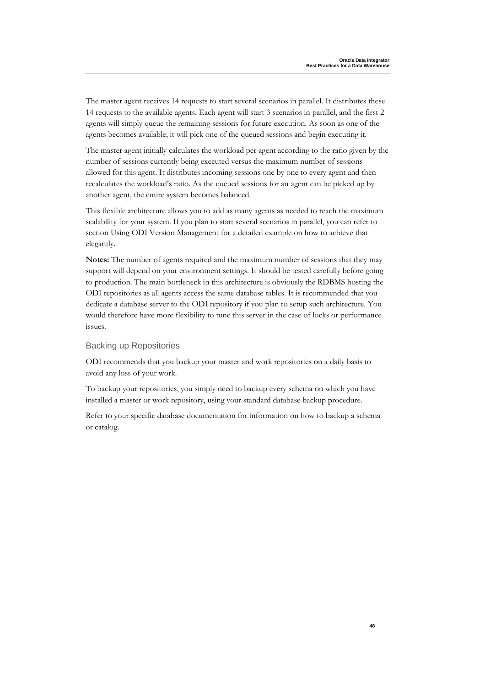The master agent receives 14 requests to start several scenarios in parallel. It distributes these 14 requests to the available agents. Each agent will start 3 scenarios in parallel, and the first 2 agents will simply queue the remaining sessions for future execution. As soon as one of the agents becomes available, it will pick one of the queued sessions and begin executing it.

The master agent initially calculates the workload per agent according to the ratio given by the number of sessions currently being executed versus the maximum number of sessions allowed for this agent. It distributes incoming sessions one by one to every agent and then recalculates the workload's ratio. As the queued sessions for an agent can be picked up by another agent, the entire system becomes balanced.

This flexible architecture allows you to add as many agents as needed to reach the maximum scalability for your system. If you plan to start several scenarios in parallel, you can refer to section Using ODI Version Management for a detailed example on how to achieve that elegantly.

**Notes:** The number of agents required and the maximum number of sessions that they may support will depend on your environment settings. It should be tested carefully before going to production. The main bottleneck in this architecture is obviously the RDBMS hosting the ODI repositories as all agents access the same database tables. It is recommended that you dedicate a database server to the ODI repository if you plan to setup such architecture. You would therefore have more flexibility to tune this server in the case of locks or performance issues.

#### Backing up Repositories

ODI recommends that you backup your master and work repositories on a daily basis to avoid any loss of your work.

To backup your repositories, you simply need to backup every schema on which you have installed a master or work repository, using your standard database backup procedure.

Refer to your specific database documentation for information on how to backup a schema or catalog.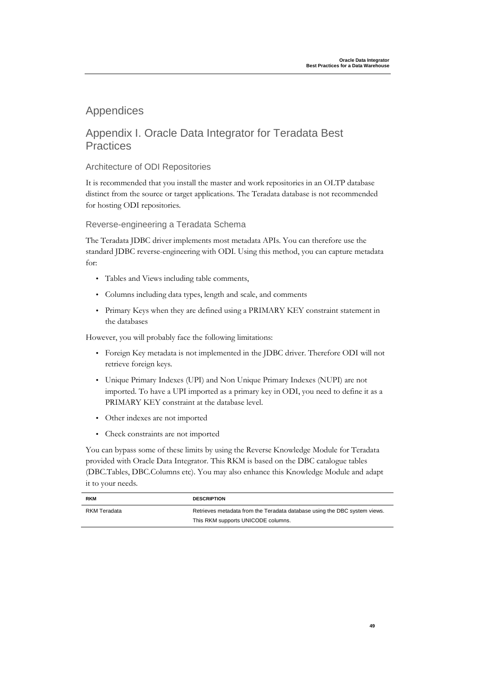### Appendices

### Appendix I. Oracle Data Integrator for Teradata Best **Practices**

#### Architecture of ODI Repositories

It is recommended that you install the master and work repositories in an OLTP database distinct from the source or target applications. The Teradata database is not recommended for hosting ODI repositories.

Reverse-engineering a Teradata Schema

The Teradata JDBC driver implements most metadata APIs. You can therefore use the standard JDBC reverse-engineering with ODI. Using this method, you can capture metadata for:

- Tables and Views including table comments,
- Columns including data types, length and scale, and comments
- Primary Keys when they are defined using a PRIMARY KEY constraint statement in the databases

However, you will probably face the following limitations:

- Foreign Key metadata is not implemented in the JDBC driver. Therefore ODI will not retrieve foreign keys.
- Unique Primary Indexes (UPI) and Non Unique Primary Indexes (NUPI) are not imported. To have a UPI imported as a primary key in ODI, you need to define it as a PRIMARY KEY constraint at the database level.
- Other indexes are not imported
- Check constraints are not imported

You can bypass some of these limits by using the Reverse Knowledge Module for Teradata provided with Oracle Data Integrator. This RKM is based on the DBC catalogue tables (DBC.Tables, DBC.Columns etc). You may also enhance this Knowledge Module and adapt it to your needs.

| <b>RKM</b>   | <b>DESCRIPTION</b>                                                        |
|--------------|---------------------------------------------------------------------------|
| RKM Teradata | Retrieves metadata from the Teradata database using the DBC system views. |
|              | This RKM supports UNICODE columns.                                        |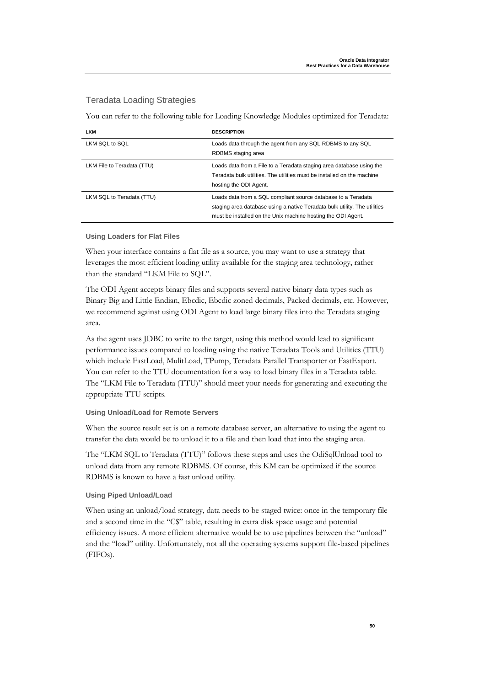#### Teradata Loading Strategies

You can refer to the following table for Loading Knowledge Modules optimized for Teradata:

| <b>LKM</b>                 | <b>DESCRIPTION</b>                                                                                                                                                                                         |
|----------------------------|------------------------------------------------------------------------------------------------------------------------------------------------------------------------------------------------------------|
| LKM SQL to SQL             | Loads data through the agent from any SQL RDBMS to any SQL<br>RDBMS staging area                                                                                                                           |
| LKM File to Teradata (TTU) | Loads data from a File to a Teradata staging area database using the<br>Teradata bulk utilities. The utilities must be installed on the machine<br>hosting the ODI Agent.                                  |
| LKM SQL to Teradata (TTU)  | Loads data from a SQL compliant source database to a Teradata<br>staging area database using a native Teradata bulk utility. The utilities<br>must be installed on the Unix machine hosting the ODI Agent. |

#### **Using Loaders for Flat Files**

When your interface contains a flat file as a source, you may want to use a strategy that leverages the most efficient loading utility available for the staging area technology, rather than the standard "LKM File to SQL".

The ODI Agent accepts binary files and supports several native binary data types such as Binary Big and Little Endian, Ebcdic, Ebcdic zoned decimals, Packed decimals, etc. However, we recommend against using ODI Agent to load large binary files into the Teradata staging area.

As the agent uses JDBC to write to the target, using this method would lead to significant performance issues compared to loading using the native Teradata Tools and Utilities (TTU) which include FastLoad, MulitLoad, TPump, Teradata Parallel Transporter or FastExport. You can refer to the TTU documentation for a way to load binary files in a Teradata table. The "LKM File to Teradata (TTU)" should meet your needs for generating and executing the appropriate TTU scripts.

#### **Using Unload/Load for Remote Servers**

When the source result set is on a remote database server, an alternative to using the agent to transfer the data would be to unload it to a file and then load that into the staging area.

The "LKM SQL to Teradata (TTU)" follows these steps and uses the OdiSqlUnload tool to unload data from any remote RDBMS. Of course, this KM can be optimized if the source RDBMS is known to have a fast unload utility.

#### **Using Piped Unload/Load**

When using an unload/load strategy, data needs to be staged twice: once in the temporary file and a second time in the "C\$" table, resulting in extra disk space usage and potential efficiency issues. A more efficient alternative would be to use pipelines between the "unload" and the "load" utility. Unfortunately, not all the operating systems support file-based pipelines (FIFOs).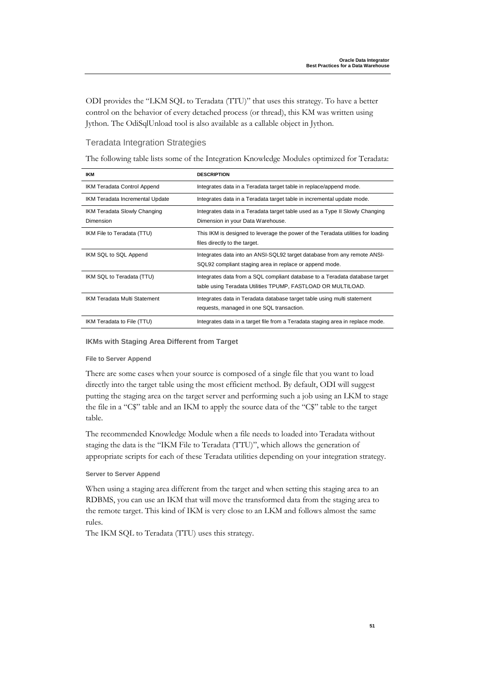ODI provides the "LKM SQL to Teradata (TTU)" that uses this strategy. To have a better control on the behavior of every detached process (or thread), this KM was written using Jython. The OdiSqlUnload tool is also available as a callable object in Jython.

#### Teradata Integration Strategies

The following table lists some of the Integration Knowledge Modules optimized for Teradata:

| <b>IKM</b>                                | <b>DESCRIPTION</b>                                                                                                                          |
|-------------------------------------------|---------------------------------------------------------------------------------------------------------------------------------------------|
| IKM Teradata Control Append               | Integrates data in a Teradata target table in replace/append mode.                                                                          |
| IKM Teradata Incremental Update           | Integrates data in a Teradata target table in incremental update mode.                                                                      |
| IKM Teradata Slowly Changing<br>Dimension | Integrates data in a Teradata target table used as a Type II Slowly Changing<br>Dimension in your Data Warehouse.                           |
| IKM File to Teradata (TTU)                | This IKM is designed to leverage the power of the Teradata utilities for loading<br>files directly to the target.                           |
| IKM SQL to SQL Append                     | Integrates data into an ANSI-SQL92 target database from any remote ANSI-<br>SQL92 compliant staging area in replace or append mode.         |
| IKM SQL to Teradata (TTU)                 | Integrates data from a SQL compliant database to a Teradata database target<br>table using Teradata Utilities TPUMP, FASTLOAD OR MULTILOAD. |
| <b>IKM Teradata Multi Statement</b>       | Integrates data in Teradata database target table using multi statement<br>requests, managed in one SQL transaction.                        |
| IKM Teradata to File (TTU)                | Integrates data in a target file from a Teradata staging area in replace mode.                                                              |

#### **IKMs with Staging Area Different from Target**

#### **File to Server Append**

There are some cases when your source is composed of a single file that you want to load directly into the target table using the most efficient method. By default, ODI will suggest putting the staging area on the target server and performing such a job using an LKM to stage the file in a "C\$" table and an IKM to apply the source data of the "C\$" table to the target table.

The recommended Knowledge Module when a file needs to loaded into Teradata without staging the data is the "IKM File to Teradata (TTU)", which allows the generation of appropriate scripts for each of these Teradata utilities depending on your integration strategy.

#### **Server to Server Append**

When using a staging area different from the target and when setting this staging area to an RDBMS, you can use an IKM that will move the transformed data from the staging area to the remote target. This kind of IKM is very close to an LKM and follows almost the same rules.

The IKM SQL to Teradata (TTU) uses this strategy.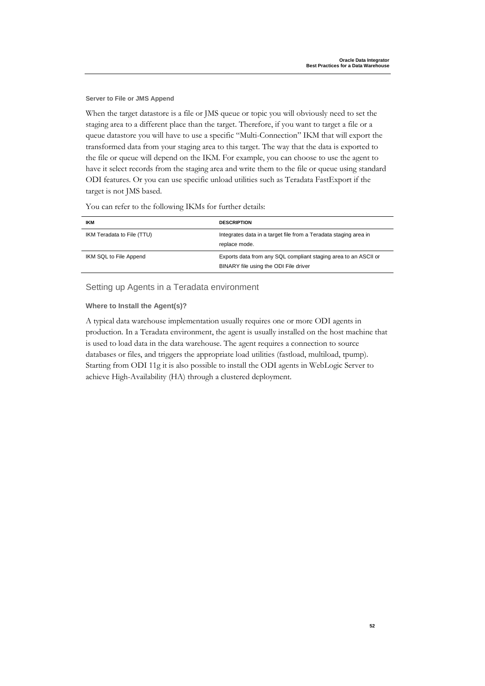**Server to File or JMS Append** 

When the target datastore is a file or JMS queue or topic you will obviously need to set the staging area to a different place than the target. Therefore, if you want to target a file or a queue datastore you will have to use a specific "Multi-Connection" IKM that will export the transformed data from your staging area to this target. The way that the data is exported to the file or queue will depend on the IKM. For example, you can choose to use the agent to have it select records from the staging area and write them to the file or queue using standard ODI features. Or you can use specific unload utilities such as Teradata FastExport if the target is not JMS based.

You can refer to the following IKMs for further details:

| IKM                        | <b>DESCRIPTION</b>                                                                                       |
|----------------------------|----------------------------------------------------------------------------------------------------------|
| IKM Teradata to File (TTU) | Integrates data in a target file from a Teradata staging area in<br>replace mode.                        |
| IKM SQL to File Append     | Exports data from any SQL compliant staging area to an ASCII or<br>BINARY file using the ODI File driver |

Setting up Agents in a Teradata environment

**Where to Install the Agent(s)?** 

A typical data warehouse implementation usually requires one or more ODI agents in production. In a Teradata environment, the agent is usually installed on the host machine that is used to load data in the data warehouse. The agent requires a connection to source databases or files, and triggers the appropriate load utilities (fastload, multiload, tpump). Starting from ODI 11g it is also possible to install the ODI agents in WebLogic Server to achieve High-Availability (HA) through a clustered deployment.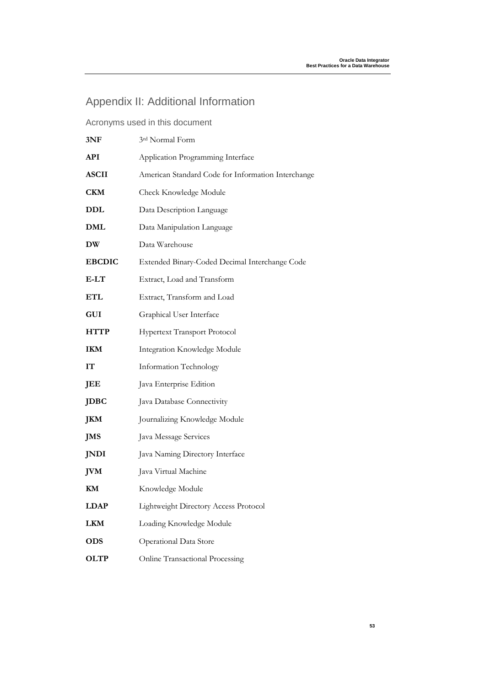## Appendix II: Additional Information

| 3NF           | 3rd Normal Form                                    |
|---------------|----------------------------------------------------|
| API           | Application Programming Interface                  |
| <b>ASCII</b>  | American Standard Code for Information Interchange |
| <b>CKM</b>    | Check Knowledge Module                             |
| DDL           | Data Description Language                          |
| DML           | Data Manipulation Language                         |
| DW            | Data Warehouse                                     |
| <b>EBCDIC</b> | Extended Binary-Coded Decimal Interchange Code     |
| $E-LT$        | Extract, Load and Transform                        |
| ETL           | Extract, Transform and Load                        |
| <b>GUI</b>    | Graphical User Interface                           |
| <b>HTTP</b>   | Hypertext Transport Protocol                       |
| <b>IKM</b>    | Integration Knowledge Module                       |
| IТ            | Information Technology                             |
| JEE           | Java Enterprise Edition                            |
| <b>JDBC</b>   | Java Database Connectivity                         |
| JKM           | Journalizing Knowledge Module                      |
| JMS           | Java Message Services                              |
| JNDI          | Java Naming Directory Interface                    |
| JVM           | Java Virtual Machine                               |
| KМ            | Knowledge Module                                   |
| <b>LDAP</b>   | Lightweight Directory Access Protocol              |
| <b>LKM</b>    | Loading Knowledge Module                           |
| <b>ODS</b>    | Operational Data Store                             |
| <b>OLTP</b>   | Online Transactional Processing                    |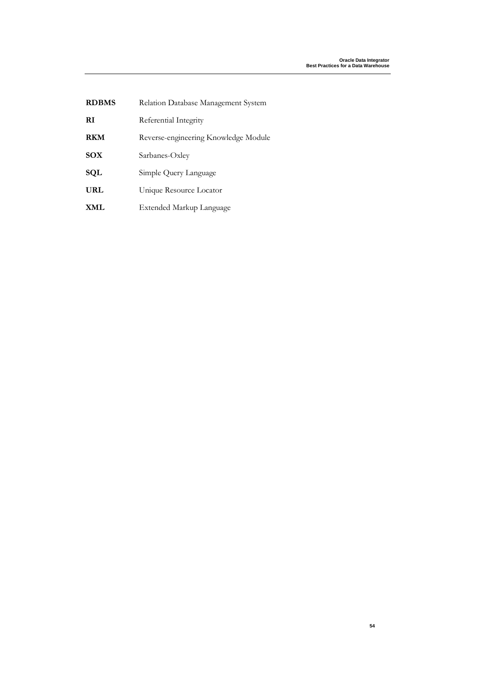| <b>RDBMS</b> | Relation Database Management System  |
|--------------|--------------------------------------|
| RI           | Referential Integrity                |
| <b>RKM</b>   | Reverse-engineering Knowledge Module |
| <b>SOX</b>   | Sarbanes-Oxley                       |
| SQL          | Simple Query Language                |
| URL          | Unique Resource Locator              |
| <b>XML</b>   | Extended Markup Language             |